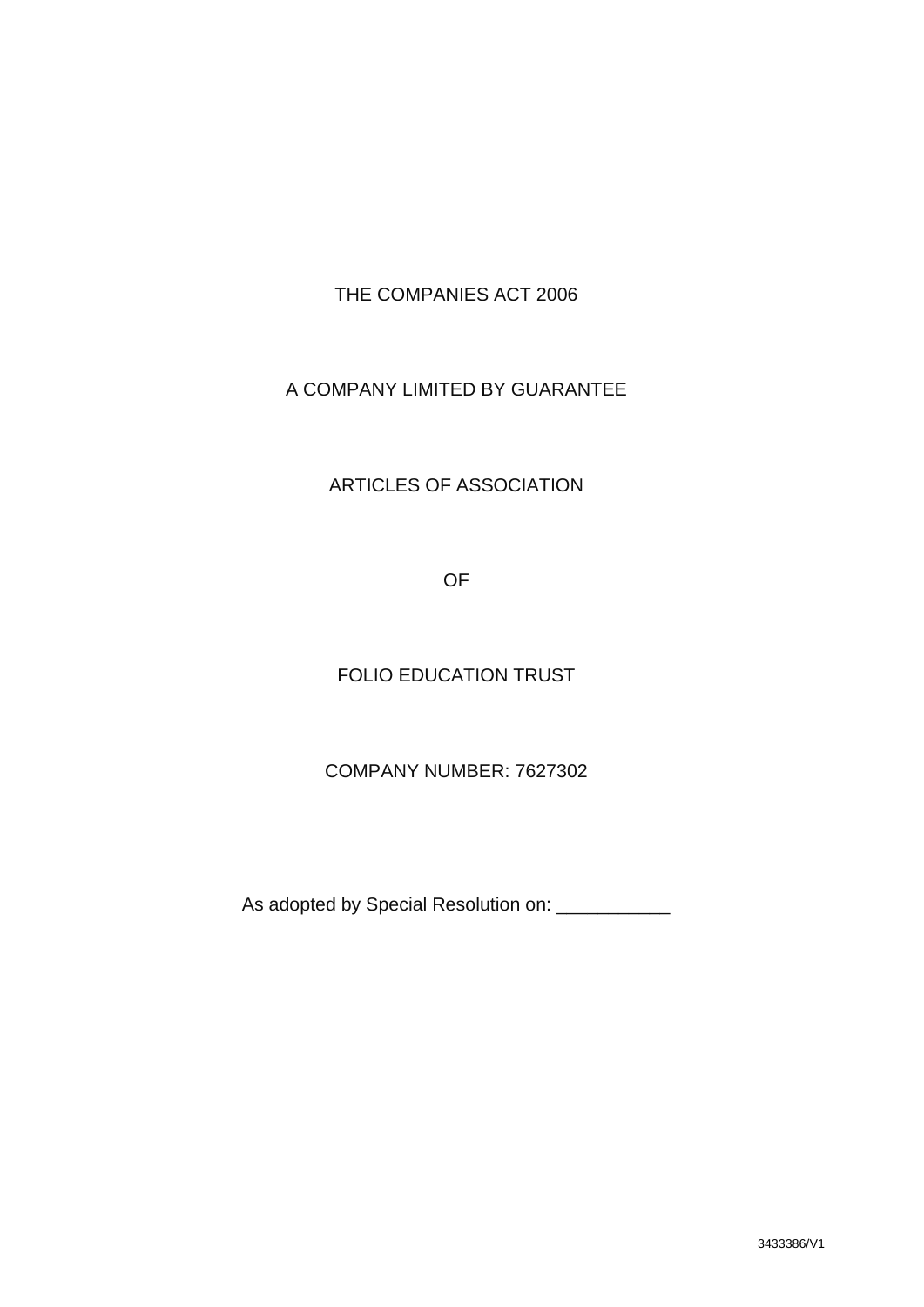THE COMPANIES ACT 2006

# A COMPANY LIMITED BY GUARANTEE

# ARTICLES OF ASSOCIATION

OF

# FOLIO EDUCATION TRUST

# COMPANY NUMBER: 7627302

As adopted by Special Resolution on: \_\_\_\_\_\_\_\_\_\_\_\_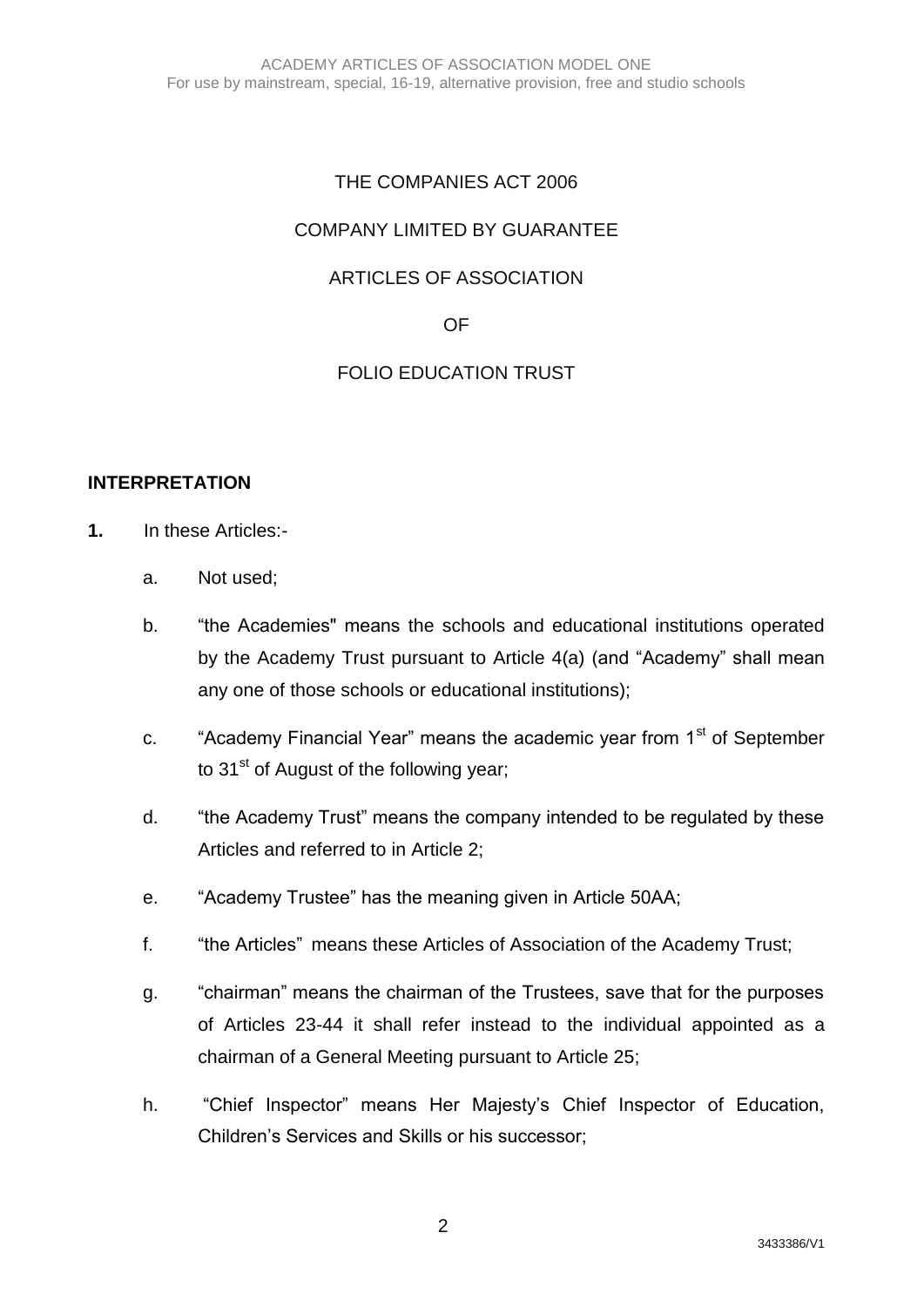# THE COMPANIES ACT 2006

# COMPANY LIMITED BY GUARANTEE

# ARTICLES OF ASSOCIATION

#### OF

# FOLIO EDUCATION TRUST

#### **INTERPRETATION**

- **1.** In these Articles:
	- a. Not used;
	- b. "the Academies" means the schools and educational institutions operated by the Academy Trust pursuant to Article 4(a) (and "Academy" shall mean any one of those schools or educational institutions);
	- c. "Academy Financial Year" means the academic year from 1<sup>st</sup> of September to  $31<sup>st</sup>$  of August of the following year;
	- d. "the Academy Trust" means the company intended to be regulated by these Articles and referred to in Article 2;
	- e. "Academy Trustee" has the meaning given in Article 50AA;
	- f. "the Articles" means these Articles of Association of the Academy Trust;
	- g. "chairman" means the chairman of the Trustees, save that for the purposes of Articles 23-44 it shall refer instead to the individual appointed as a chairman of a General Meeting pursuant to Article 25;
	- h. "Chief Inspector" means Her Majesty's Chief Inspector of Education, Children's Services and Skills or his successor;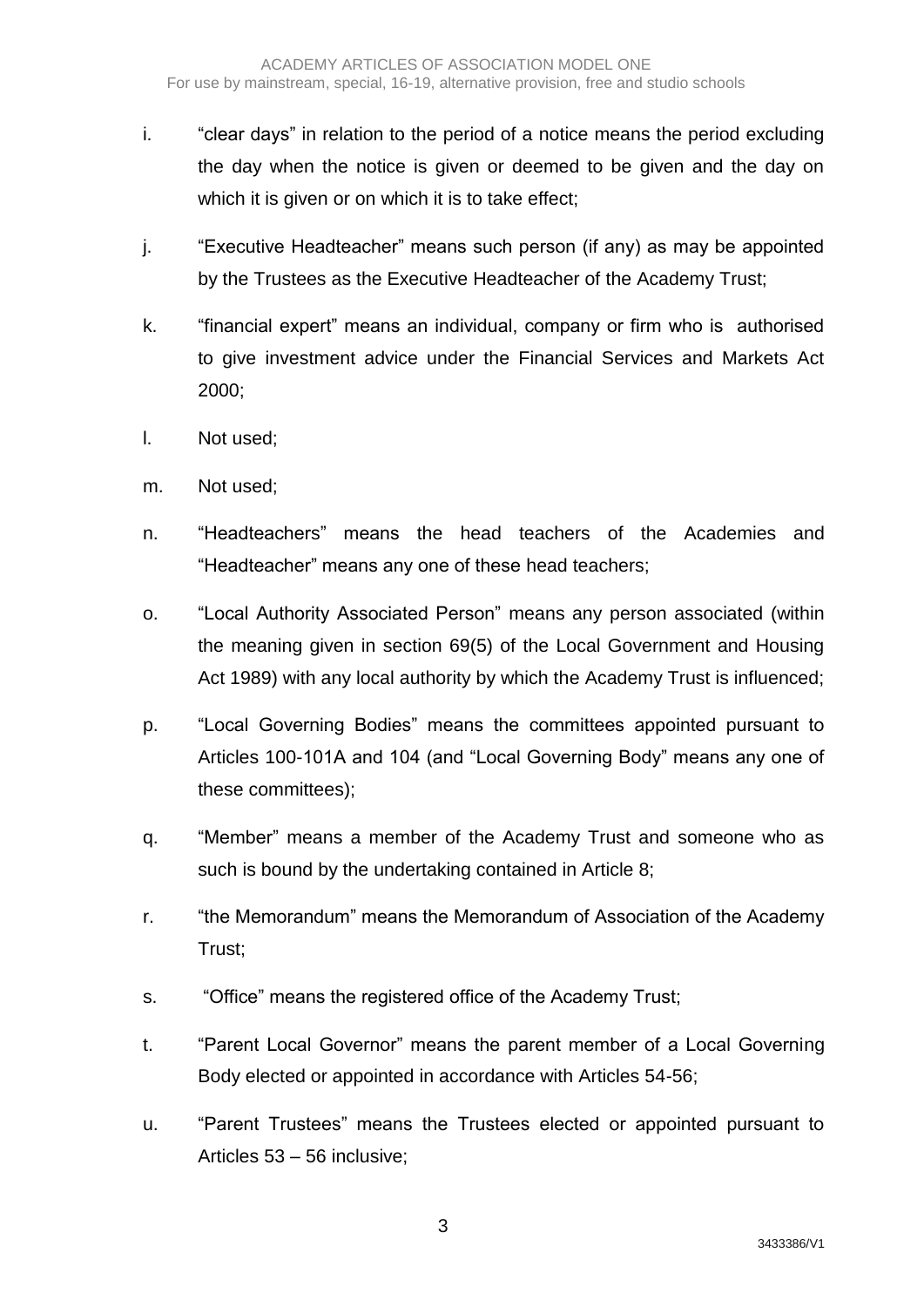- i. "clear days" in relation to the period of a notice means the period excluding the day when the notice is given or deemed to be given and the day on which it is given or on which it is to take effect:
- j. "Executive Headteacher" means such person (if any) as may be appointed by the Trustees as the Executive Headteacher of the Academy Trust;
- k. "financial expert" means an individual, company or firm who is authorised to give investment advice under the Financial Services and Markets Act 2000;
- l. Not used;
- m. Not used;
- n. "Headteachers" means the head teachers of the Academies and "Headteacher" means any one of these head teachers;
- o. "Local Authority Associated Person" means any person associated (within the meaning given in section 69(5) of the Local Government and Housing Act 1989) with any local authority by which the Academy Trust is influenced;
- p. "Local Governing Bodies" means the committees appointed pursuant to Articles 100-101A and 104 (and "Local Governing Body" means any one of these committees);
- q. "Member" means a member of the Academy Trust and someone who as such is bound by the undertaking contained in Article 8;
- r. "the Memorandum" means the Memorandum of Association of the Academy Trust;
- s. "Office" means the registered office of the Academy Trust;
- t. "Parent Local Governor" means the parent member of a Local Governing Body elected or appointed in accordance with Articles 54-56;
- u. "Parent Trustees" means the Trustees elected or appointed pursuant to Articles 53 – 56 inclusive;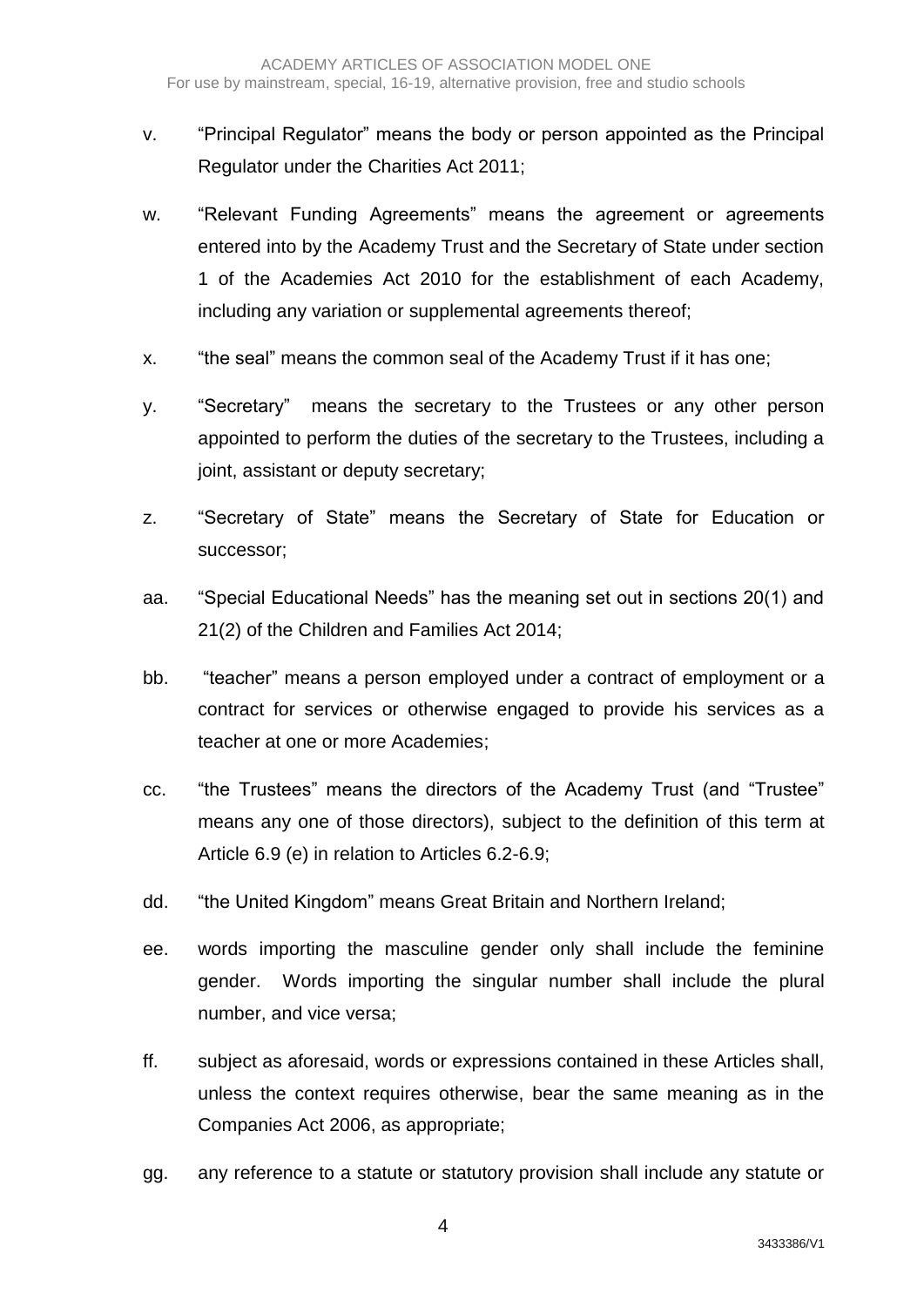- v. "Principal Regulator" means the body or person appointed as the Principal Regulator under the Charities Act 2011;
- w. "Relevant Funding Agreements" means the agreement or agreements entered into by the Academy Trust and the Secretary of State under section 1 of the Academies Act 2010 for the establishment of each Academy, including any variation or supplemental agreements thereof;
- x. "the seal" means the common seal of the Academy Trust if it has one;
- y. "Secretary" means the secretary to the Trustees or any other person appointed to perform the duties of the secretary to the Trustees, including a joint, assistant or deputy secretary;
- z. "Secretary of State" means the Secretary of State for Education or successor;
- aa. "Special Educational Needs" has the meaning set out in sections 20(1) and 21(2) of the Children and Families Act 2014;
- bb. "teacher" means a person employed under a contract of employment or a contract for services or otherwise engaged to provide his services as a teacher at one or more Academies;
- cc. "the Trustees" means the directors of the Academy Trust (and "Trustee" means any one of those directors), subject to the definition of this term at Article 6.9 (e) in relation to Articles 6.2-6.9;
- dd. "the United Kingdom" means Great Britain and Northern Ireland;
- ee. words importing the masculine gender only shall include the feminine gender. Words importing the singular number shall include the plural number, and vice versa;
- ff. subject as aforesaid, words or expressions contained in these Articles shall, unless the context requires otherwise, bear the same meaning as in the Companies Act 2006, as appropriate;
- gg. any reference to a statute or statutory provision shall include any statute or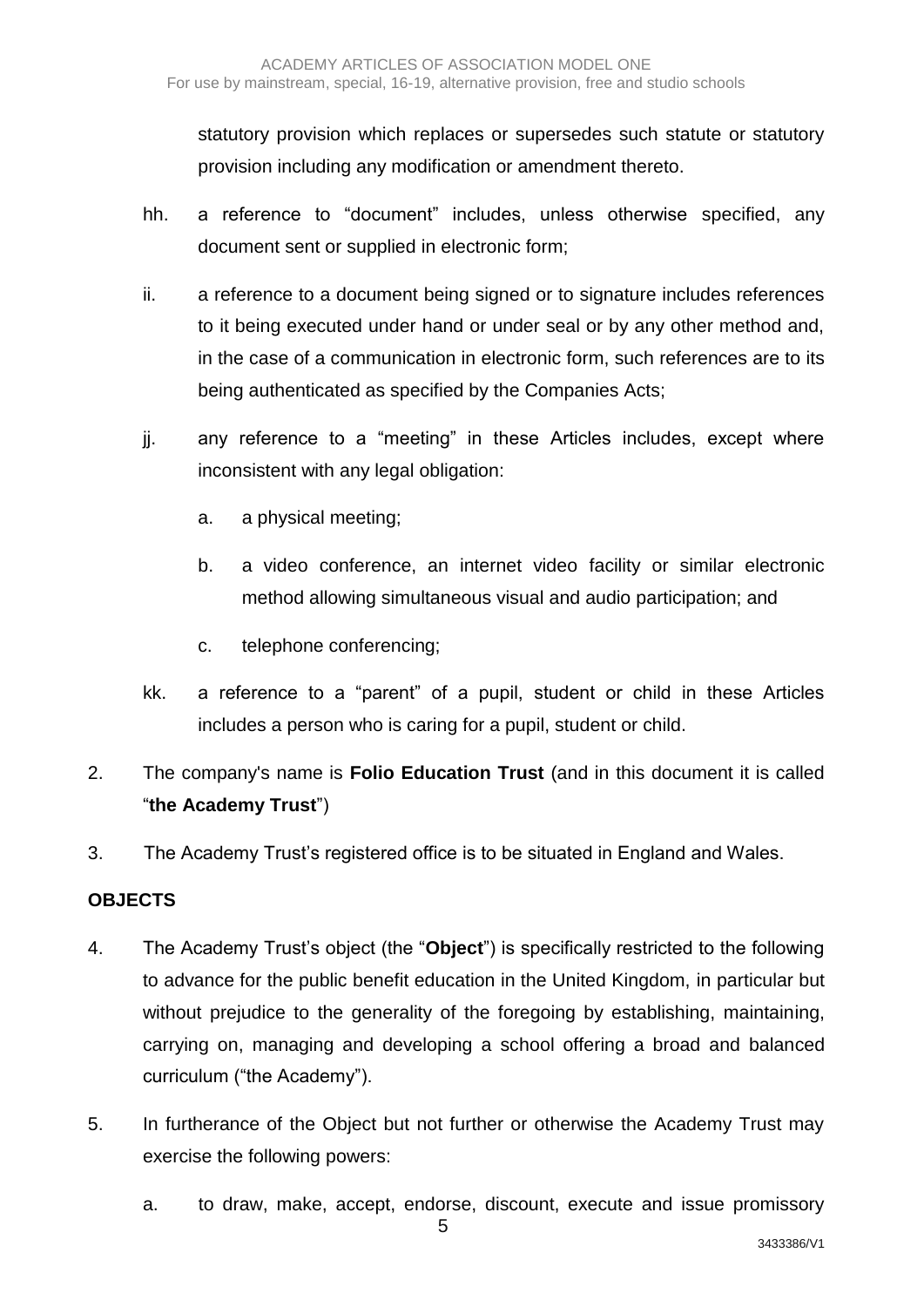statutory provision which replaces or supersedes such statute or statutory provision including any modification or amendment thereto.

- hh. a reference to "document" includes, unless otherwise specified, any document sent or supplied in electronic form;
- ii. a reference to a document being signed or to signature includes references to it being executed under hand or under seal or by any other method and, in the case of a communication in electronic form, such references are to its being authenticated as specified by the Companies Acts;
- jj. any reference to a "meeting" in these Articles includes, except where inconsistent with any legal obligation:
	- a. a physical meeting;
	- b. a video conference, an internet video facility or similar electronic method allowing simultaneous visual and audio participation; and
	- c. telephone conferencing;
- kk. a reference to a "parent" of a pupil, student or child in these Articles includes a person who is caring for a pupil, student or child.
- 2. The company's name is **Folio Education Trust** (and in this document it is called "**the Academy Trust**")
- 3. The Academy Trust's registered office is to be situated in England and Wales.

#### **OBJECTS**

- 4. The Academy Trust's object (the "**Object**") is specifically restricted to the following to advance for the public benefit education in the United Kingdom, in particular but without prejudice to the generality of the foregoing by establishing, maintaining, carrying on, managing and developing a school offering a broad and balanced curriculum ("the Academy").
- 5. In furtherance of the Object but not further or otherwise the Academy Trust may exercise the following powers:

5

a. to draw, make, accept, endorse, discount, execute and issue promissory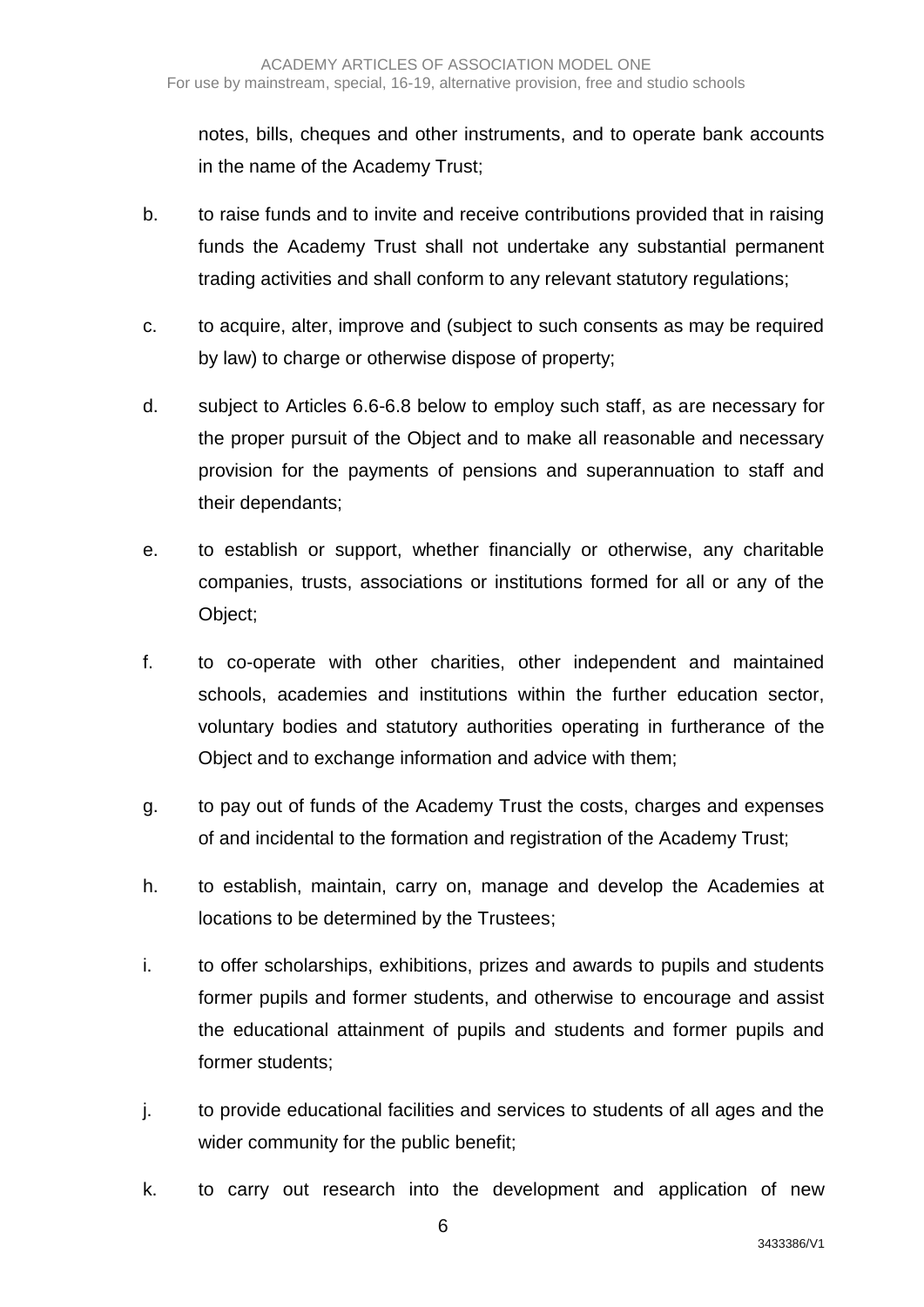notes, bills, cheques and other instruments, and to operate bank accounts in the name of the Academy Trust;

- b. to raise funds and to invite and receive contributions provided that in raising funds the Academy Trust shall not undertake any substantial permanent trading activities and shall conform to any relevant statutory regulations;
- c. to acquire, alter, improve and (subject to such consents as may be required by law) to charge or otherwise dispose of property;
- d. subject to Articles 6.6-6.8 below to employ such staff, as are necessary for the proper pursuit of the Object and to make all reasonable and necessary provision for the payments of pensions and superannuation to staff and their dependants;
- e. to establish or support, whether financially or otherwise, any charitable companies, trusts, associations or institutions formed for all or any of the Object;
- f. to co-operate with other charities, other independent and maintained schools, academies and institutions within the further education sector, voluntary bodies and statutory authorities operating in furtherance of the Object and to exchange information and advice with them;
- g. to pay out of funds of the Academy Trust the costs, charges and expenses of and incidental to the formation and registration of the Academy Trust;
- h. to establish, maintain, carry on, manage and develop the Academies at locations to be determined by the Trustees;
- i. to offer scholarships, exhibitions, prizes and awards to pupils and students former pupils and former students, and otherwise to encourage and assist the educational attainment of pupils and students and former pupils and former students;
- j. to provide educational facilities and services to students of all ages and the wider community for the public benefit;
- k. to carry out research into the development and application of new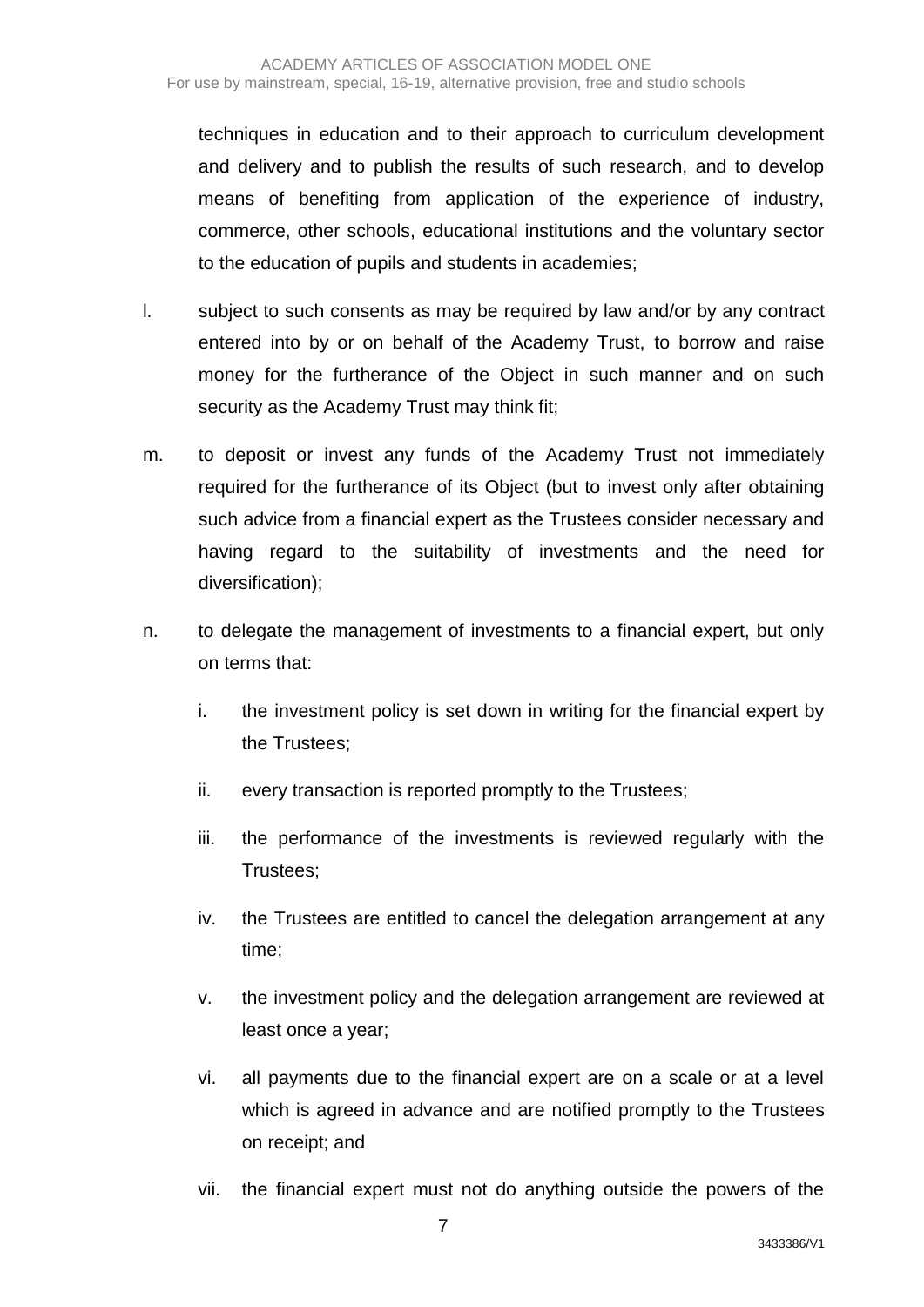techniques in education and to their approach to curriculum development and delivery and to publish the results of such research, and to develop means of benefiting from application of the experience of industry, commerce, other schools, educational institutions and the voluntary sector to the education of pupils and students in academies;

- l. subject to such consents as may be required by law and/or by any contract entered into by or on behalf of the Academy Trust, to borrow and raise money for the furtherance of the Object in such manner and on such security as the Academy Trust may think fit;
- m. to deposit or invest any funds of the Academy Trust not immediately required for the furtherance of its Object (but to invest only after obtaining such advice from a financial expert as the Trustees consider necessary and having regard to the suitability of investments and the need for diversification);
- n. to delegate the management of investments to a financial expert, but only on terms that:
	- i. the investment policy is set down in writing for the financial expert by the Trustees;
	- ii. every transaction is reported promptly to the Trustees;
	- iii. the performance of the investments is reviewed regularly with the Trustees;
	- iv. the Trustees are entitled to cancel the delegation arrangement at any time;
	- v. the investment policy and the delegation arrangement are reviewed at least once a year;
	- vi. all payments due to the financial expert are on a scale or at a level which is agreed in advance and are notified promptly to the Trustees on receipt; and
	- vii. the financial expert must not do anything outside the powers of the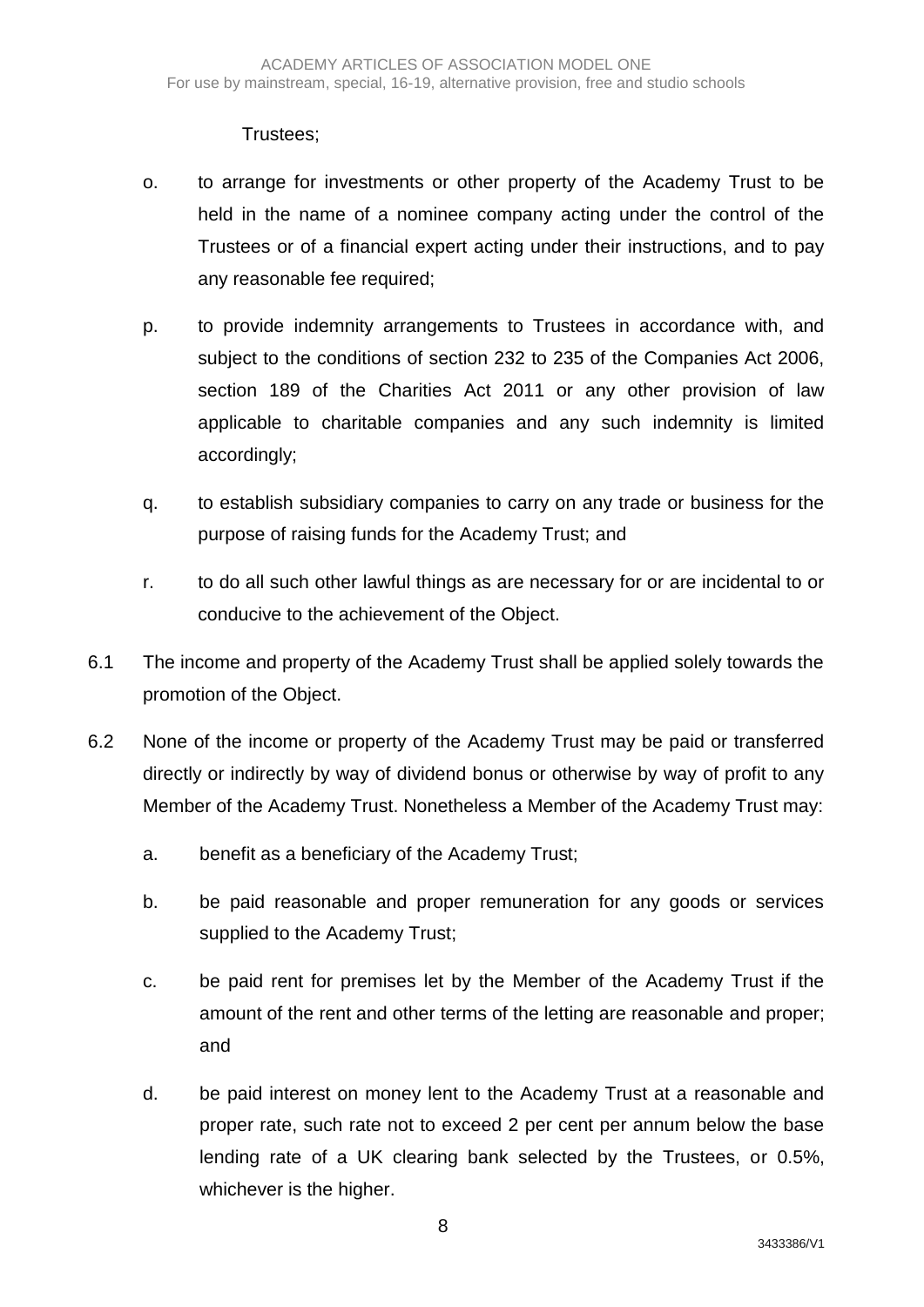## Trustees;

- o. to arrange for investments or other property of the Academy Trust to be held in the name of a nominee company acting under the control of the Trustees or of a financial expert acting under their instructions, and to pay any reasonable fee required;
- p. to provide indemnity arrangements to Trustees in accordance with, and subject to the conditions of section 232 to 235 of the Companies Act 2006, section 189 of the Charities Act 2011 or any other provision of law applicable to charitable companies and any such indemnity is limited accordingly;
- q. to establish subsidiary companies to carry on any trade or business for the purpose of raising funds for the Academy Trust; and
- r. to do all such other lawful things as are necessary for or are incidental to or conducive to the achievement of the Object.
- 6.1 The income and property of the Academy Trust shall be applied solely towards the promotion of the Object.
- 6.2 None of the income or property of the Academy Trust may be paid or transferred directly or indirectly by way of dividend bonus or otherwise by way of profit to any Member of the Academy Trust. Nonetheless a Member of the Academy Trust may:
	- a. benefit as a beneficiary of the Academy Trust;
	- b. be paid reasonable and proper remuneration for any goods or services supplied to the Academy Trust;
	- c. be paid rent for premises let by the Member of the Academy Trust if the amount of the rent and other terms of the letting are reasonable and proper; and
	- d. be paid interest on money lent to the Academy Trust at a reasonable and proper rate, such rate not to exceed 2 per cent per annum below the base lending rate of a UK clearing bank selected by the Trustees, or 0.5%, whichever is the higher.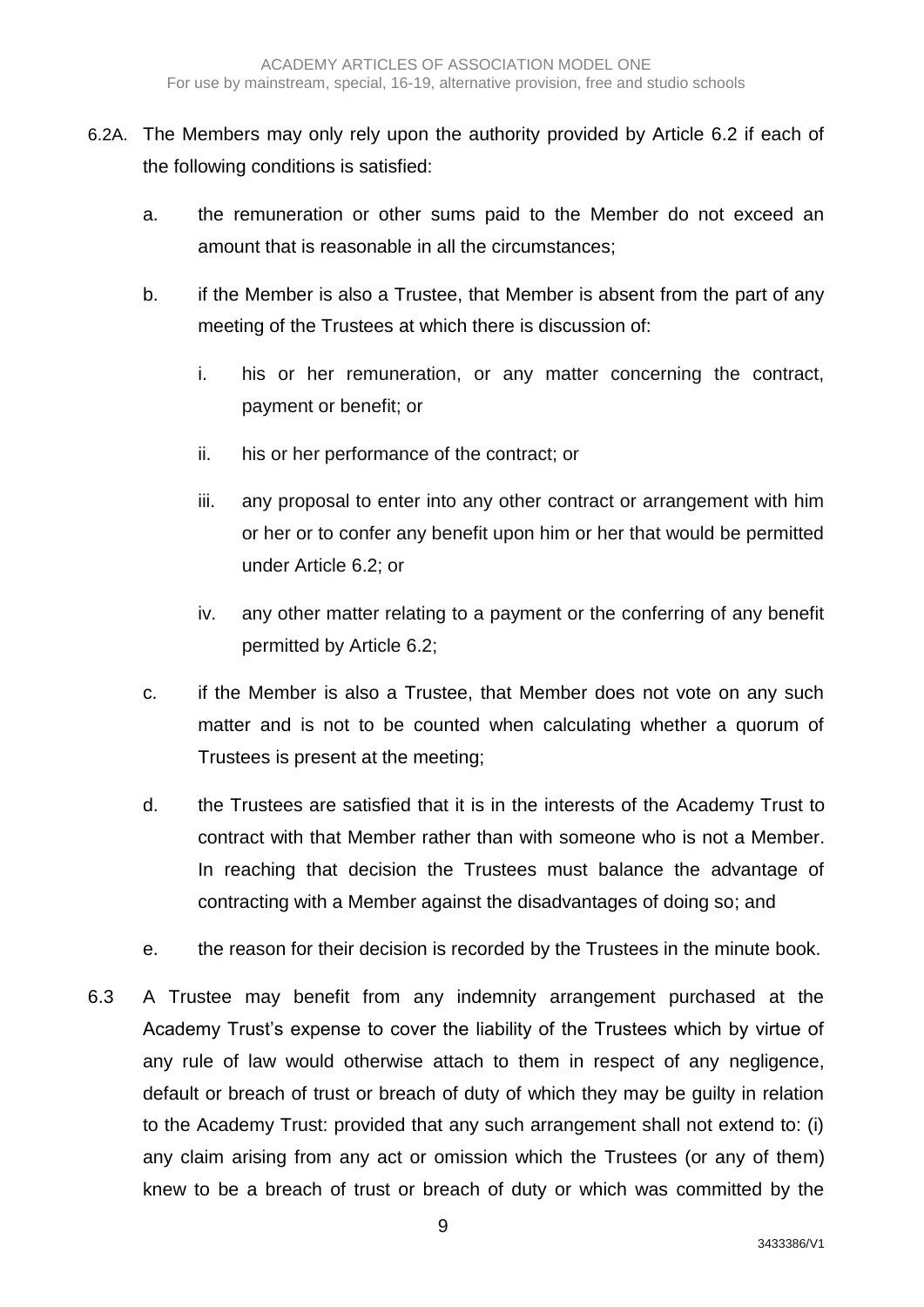- 6.2A. The Members may only rely upon the authority provided by Article 6.2 if each of the following conditions is satisfied:
	- a. the remuneration or other sums paid to the Member do not exceed an amount that is reasonable in all the circumstances;
	- b. if the Member is also a Trustee, that Member is absent from the part of any meeting of the Trustees at which there is discussion of:
		- i. his or her remuneration, or any matter concerning the contract, payment or benefit; or
		- ii. his or her performance of the contract; or
		- iii. any proposal to enter into any other contract or arrangement with him or her or to confer any benefit upon him or her that would be permitted under Article 6.2; or
		- iv. any other matter relating to a payment or the conferring of any benefit permitted by Article 6.2;
	- c. if the Member is also a Trustee, that Member does not vote on any such matter and is not to be counted when calculating whether a quorum of Trustees is present at the meeting;
	- d. the Trustees are satisfied that it is in the interests of the Academy Trust to contract with that Member rather than with someone who is not a Member. In reaching that decision the Trustees must balance the advantage of contracting with a Member against the disadvantages of doing so; and
	- e. the reason for their decision is recorded by the Trustees in the minute book.
- 6.3 A Trustee may benefit from any indemnity arrangement purchased at the Academy Trust's expense to cover the liability of the Trustees which by virtue of any rule of law would otherwise attach to them in respect of any negligence, default or breach of trust or breach of duty of which they may be guilty in relation to the Academy Trust: provided that any such arrangement shall not extend to: (i) any claim arising from any act or omission which the Trustees (or any of them) knew to be a breach of trust or breach of duty or which was committed by the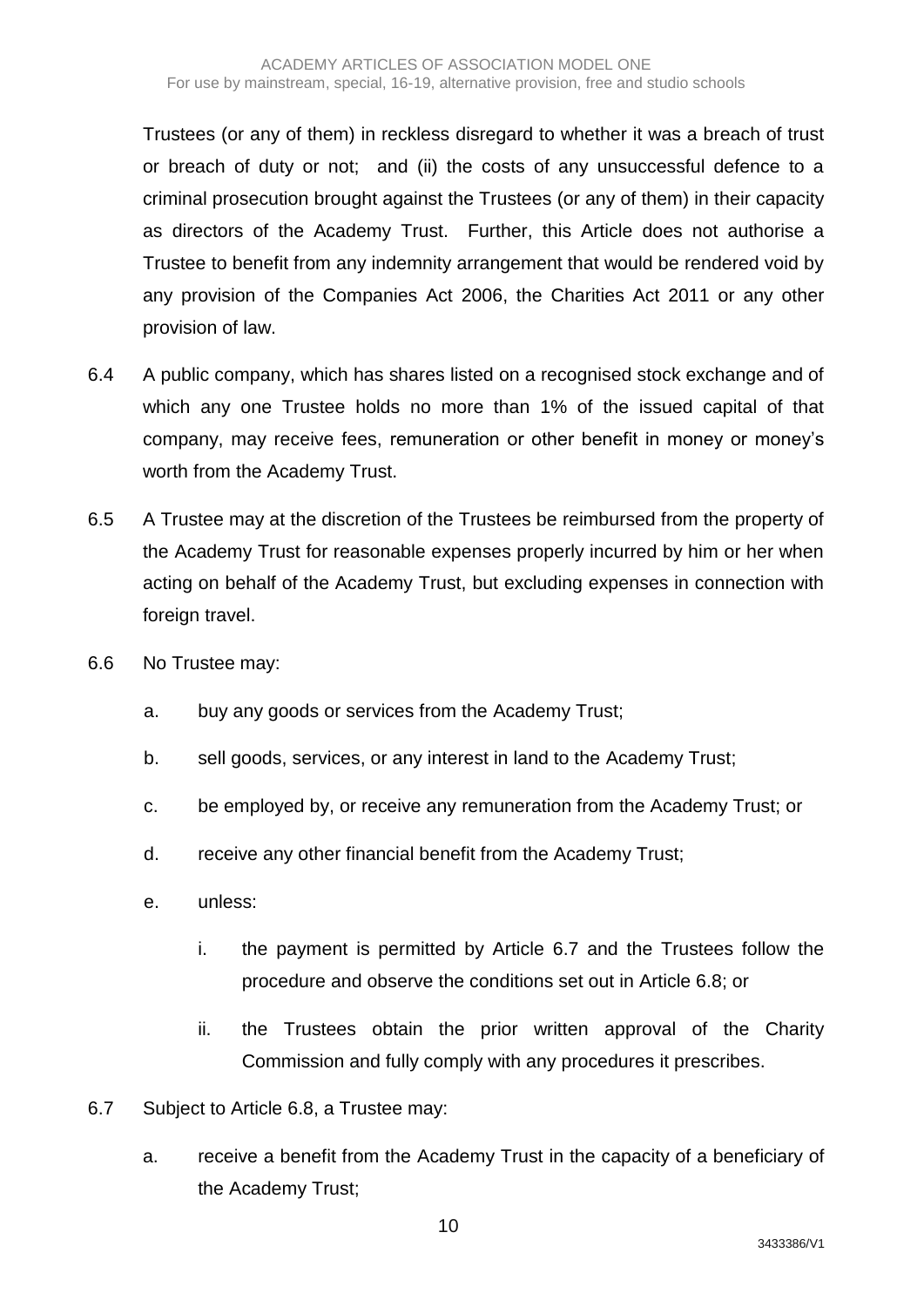Trustees (or any of them) in reckless disregard to whether it was a breach of trust or breach of duty or not; and (ii) the costs of any unsuccessful defence to a criminal prosecution brought against the Trustees (or any of them) in their capacity as directors of the Academy Trust. Further, this Article does not authorise a Trustee to benefit from any indemnity arrangement that would be rendered void by any provision of the Companies Act 2006, the Charities Act 2011 or any other provision of law.

- 6.4 A public company, which has shares listed on a recognised stock exchange and of which any one Trustee holds no more than 1% of the issued capital of that company, may receive fees, remuneration or other benefit in money or money's worth from the Academy Trust.
- 6.5 A Trustee may at the discretion of the Trustees be reimbursed from the property of the Academy Trust for reasonable expenses properly incurred by him or her when acting on behalf of the Academy Trust, but excluding expenses in connection with foreign travel.
- 6.6 No Trustee may:
	- a. buy any goods or services from the Academy Trust;
	- b. sell goods, services, or any interest in land to the Academy Trust;
	- c. be employed by, or receive any remuneration from the Academy Trust; or
	- d. receive any other financial benefit from the Academy Trust;
	- e. unless:
		- i. the payment is permitted by Article 6.7 and the Trustees follow the procedure and observe the conditions set out in Article 6.8; or
		- ii. the Trustees obtain the prior written approval of the Charity Commission and fully comply with any procedures it prescribes.
- 6.7 Subject to Article 6.8, a Trustee may:
	- a. receive a benefit from the Academy Trust in the capacity of a beneficiary of the Academy Trust;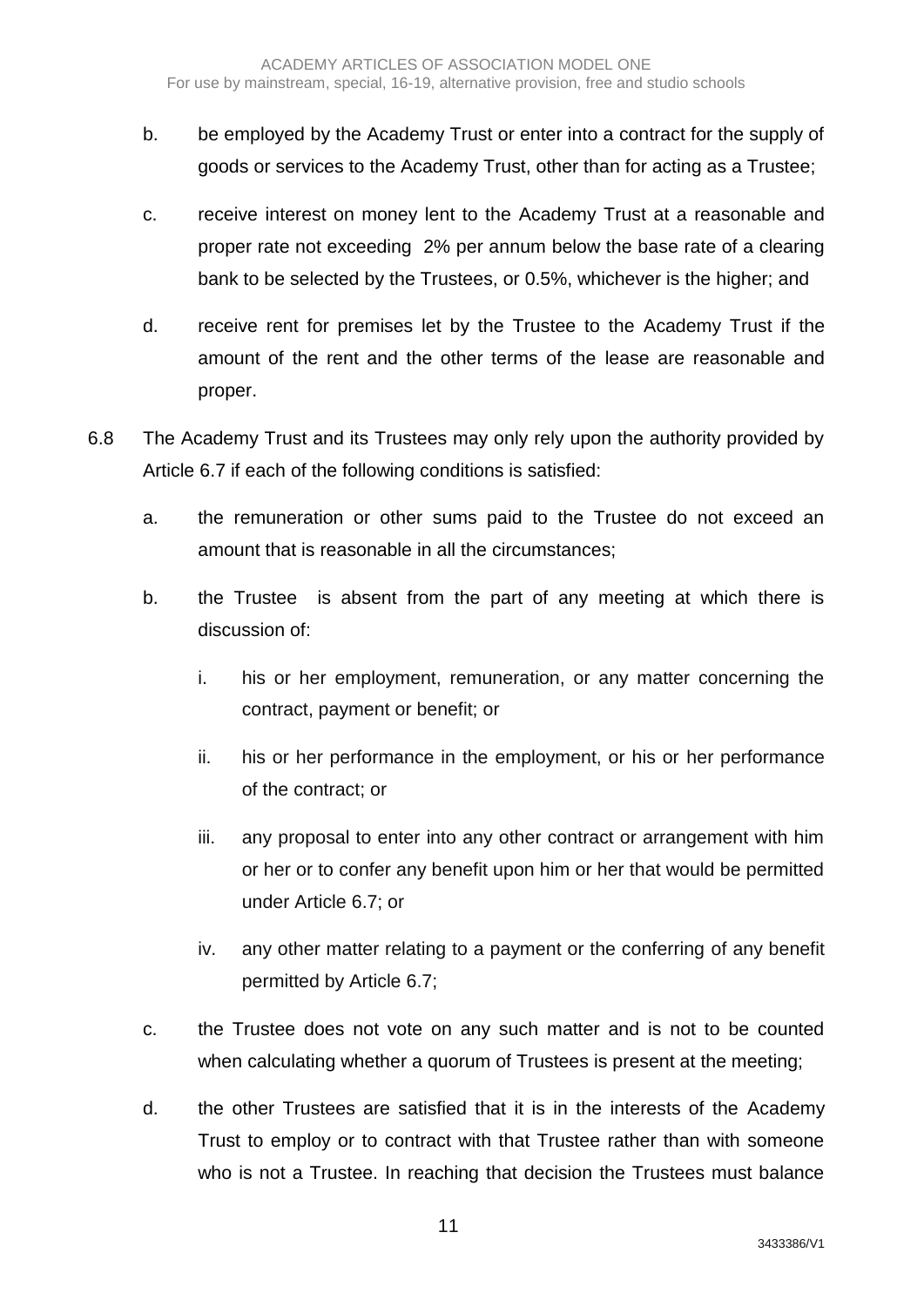- b. be employed by the Academy Trust or enter into a contract for the supply of goods or services to the Academy Trust, other than for acting as a Trustee;
- c. receive interest on money lent to the Academy Trust at a reasonable and proper rate not exceeding 2% per annum below the base rate of a clearing bank to be selected by the Trustees, or 0.5%, whichever is the higher; and
- d. receive rent for premises let by the Trustee to the Academy Trust if the amount of the rent and the other terms of the lease are reasonable and proper.
- 6.8 The Academy Trust and its Trustees may only rely upon the authority provided by Article 6.7 if each of the following conditions is satisfied:
	- a. the remuneration or other sums paid to the Trustee do not exceed an amount that is reasonable in all the circumstances;
	- b. the Trustee is absent from the part of any meeting at which there is discussion of:
		- i. his or her employment, remuneration, or any matter concerning the contract, payment or benefit; or
		- ii. his or her performance in the employment, or his or her performance of the contract; or
		- iii. any proposal to enter into any other contract or arrangement with him or her or to confer any benefit upon him or her that would be permitted under Article 6.7; or
		- iv. any other matter relating to a payment or the conferring of any benefit permitted by Article 6.7;
	- c. the Trustee does not vote on any such matter and is not to be counted when calculating whether a quorum of Trustees is present at the meeting:
	- d. the other Trustees are satisfied that it is in the interests of the Academy Trust to employ or to contract with that Trustee rather than with someone who is not a Trustee. In reaching that decision the Trustees must balance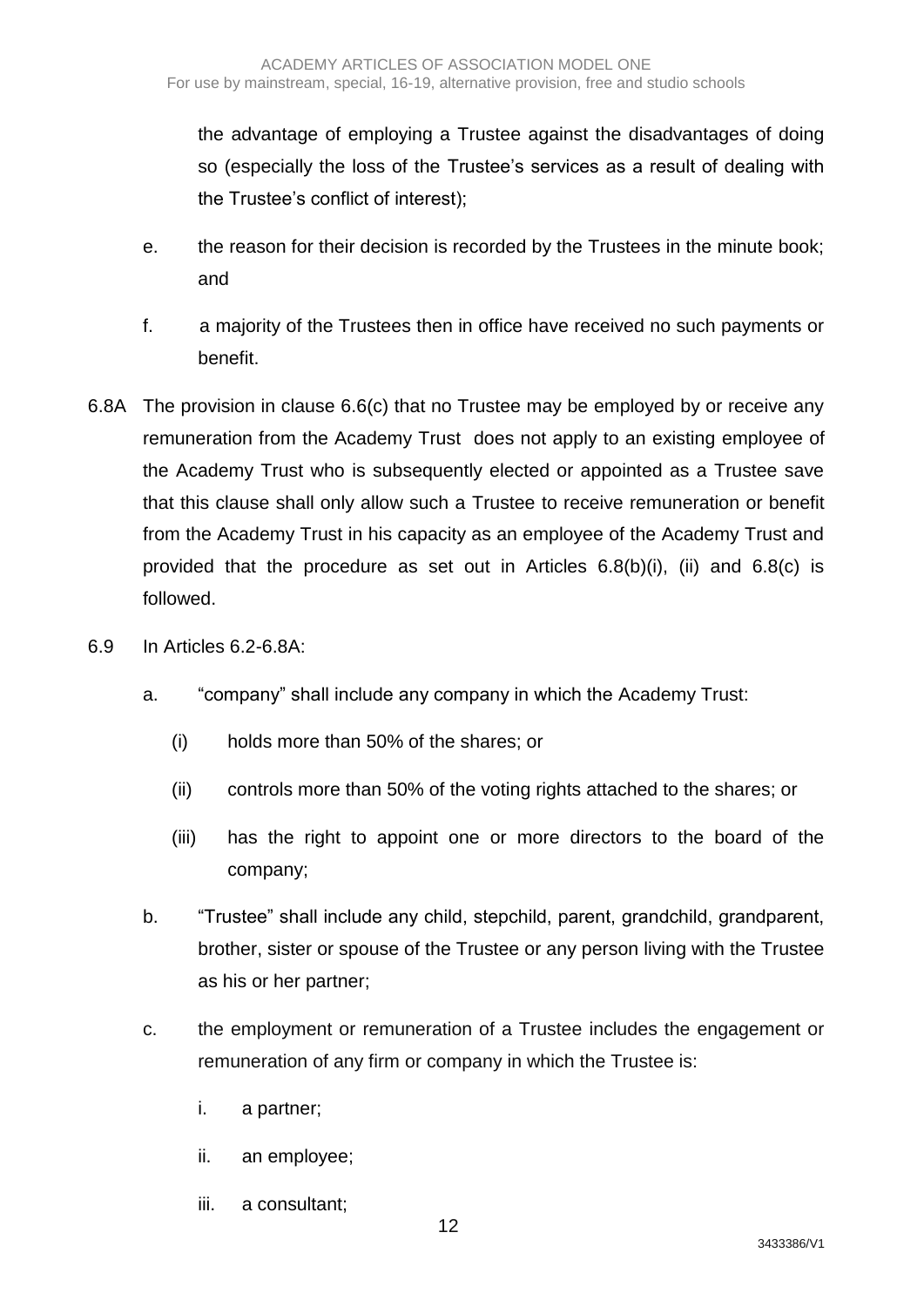the advantage of employing a Trustee against the disadvantages of doing so (especially the loss of the Trustee's services as a result of dealing with the Trustee's conflict of interest);

- e. the reason for their decision is recorded by the Trustees in the minute book; and
- f. a majority of the Trustees then in office have received no such payments or benefit.
- 6.8A The provision in clause 6.6(c) that no Trustee may be employed by or receive any remuneration from the Academy Trust does not apply to an existing employee of the Academy Trust who is subsequently elected or appointed as a Trustee save that this clause shall only allow such a Trustee to receive remuneration or benefit from the Academy Trust in his capacity as an employee of the Academy Trust and provided that the procedure as set out in Articles 6.8(b)(i), (ii) and 6.8(c) is followed.
- 6.9 In Articles 6.2-6.8A:
	- a. "company" shall include any company in which the Academy Trust:
		- (i) holds more than 50% of the shares; or
		- (ii) controls more than 50% of the voting rights attached to the shares; or
		- (iii) has the right to appoint one or more directors to the board of the company;
	- b. "Trustee" shall include any child, stepchild, parent, grandchild, grandparent, brother, sister or spouse of the Trustee or any person living with the Trustee as his or her partner;
	- c. the employment or remuneration of a Trustee includes the engagement or remuneration of any firm or company in which the Trustee is:
		- i. a partner;
		- ii. an employee;
		- iii. a consultant;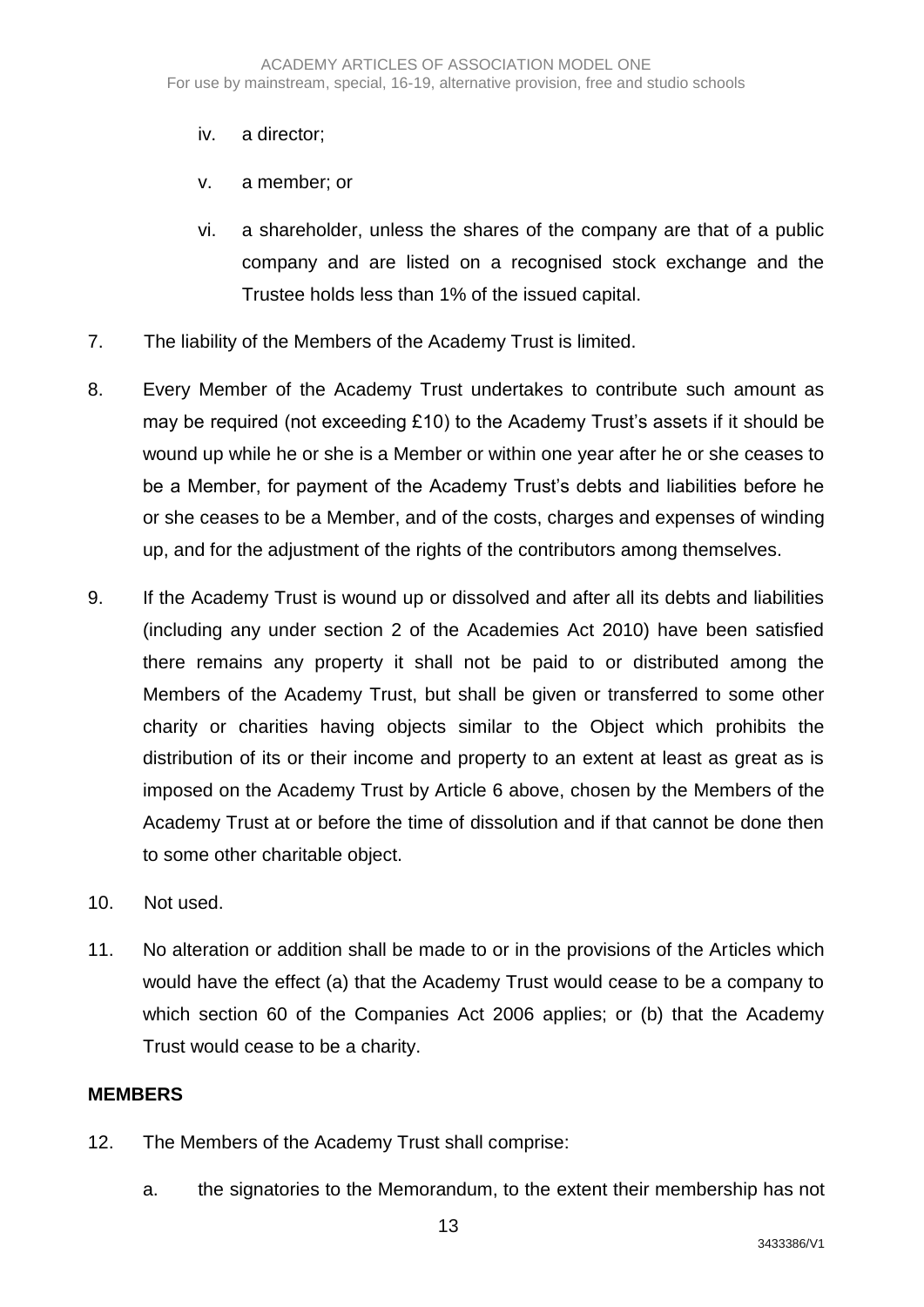## iv. a director;

- v. a member; or
- vi. a shareholder, unless the shares of the company are that of a public company and are listed on a recognised stock exchange and the Trustee holds less than 1% of the issued capital.
- 7. The liability of the Members of the Academy Trust is limited.
- 8. Every Member of the Academy Trust undertakes to contribute such amount as may be required (not exceeding £10) to the Academy Trust's assets if it should be wound up while he or she is a Member or within one year after he or she ceases to be a Member, for payment of the Academy Trust's debts and liabilities before he or she ceases to be a Member, and of the costs, charges and expenses of winding up, and for the adjustment of the rights of the contributors among themselves.
- 9. If the Academy Trust is wound up or dissolved and after all its debts and liabilities (including any under section 2 of the Academies Act 2010) have been satisfied there remains any property it shall not be paid to or distributed among the Members of the Academy Trust, but shall be given or transferred to some other charity or charities having objects similar to the Object which prohibits the distribution of its or their income and property to an extent at least as great as is imposed on the Academy Trust by Article 6 above, chosen by the Members of the Academy Trust at or before the time of dissolution and if that cannot be done then to some other charitable object.
- 10. Not used.
- 11. No alteration or addition shall be made to or in the provisions of the Articles which would have the effect (a) that the Academy Trust would cease to be a company to which section 60 of the Companies Act 2006 applies; or (b) that the Academy Trust would cease to be a charity.

#### **MEMBERS**

- 12. The Members of the Academy Trust shall comprise:
	- a. the signatories to the Memorandum, to the extent their membership has not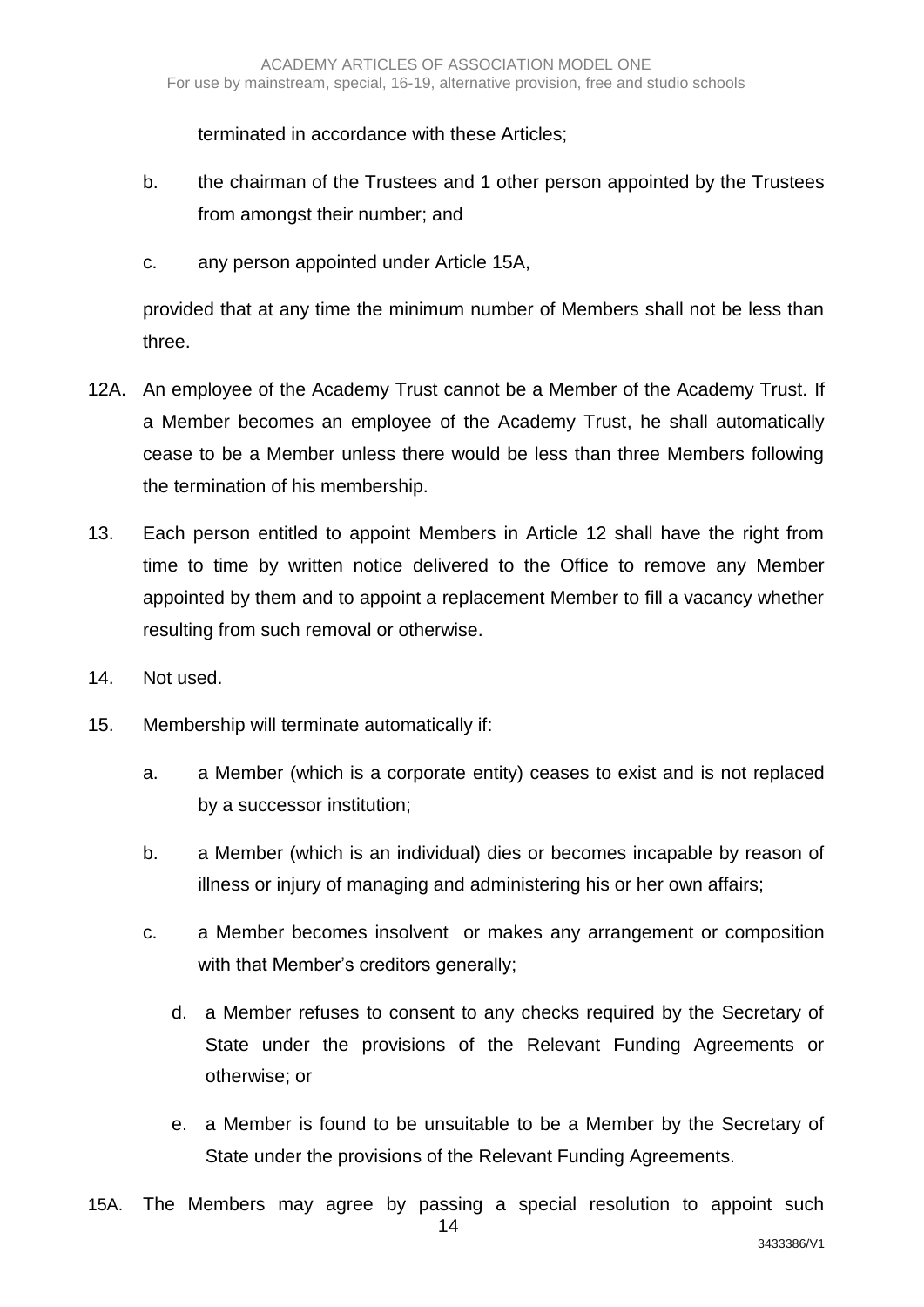terminated in accordance with these Articles;

- b. the chairman of the Trustees and 1 other person appointed by the Trustees from amongst their number; and
- c. any person appointed under Article 15A,

provided that at any time the minimum number of Members shall not be less than three.

- 12A. An employee of the Academy Trust cannot be a Member of the Academy Trust. If a Member becomes an employee of the Academy Trust, he shall automatically cease to be a Member unless there would be less than three Members following the termination of his membership.
- 13. Each person entitled to appoint Members in Article 12 shall have the right from time to time by written notice delivered to the Office to remove any Member appointed by them and to appoint a replacement Member to fill a vacancy whether resulting from such removal or otherwise.
- 14. Not used.
- 15. Membership will terminate automatically if:
	- a. a Member (which is a corporate entity) ceases to exist and is not replaced by a successor institution;
	- b. a Member (which is an individual) dies or becomes incapable by reason of illness or injury of managing and administering his or her own affairs;
	- c. a Member becomes insolvent or makes any arrangement or composition with that Member's creditors generally;
		- d. a Member refuses to consent to any checks required by the Secretary of State under the provisions of the Relevant Funding Agreements or otherwise; or
		- e. a Member is found to be unsuitable to be a Member by the Secretary of State under the provisions of the Relevant Funding Agreements.
- 14 15A. The Members may agree by passing a special resolution to appoint such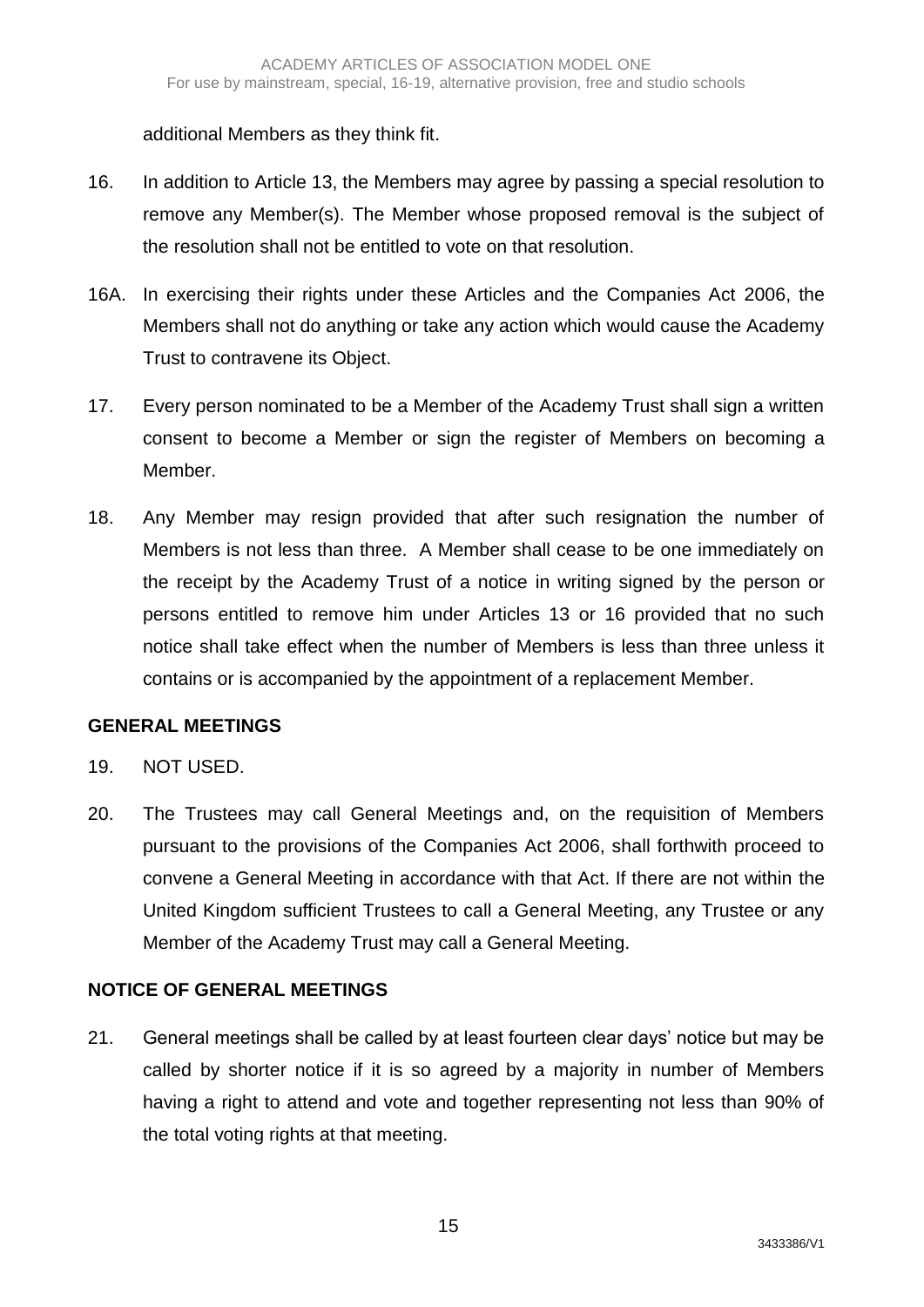additional Members as they think fit.

- 16. In addition to Article 13, the Members may agree by passing a special resolution to remove any Member(s). The Member whose proposed removal is the subject of the resolution shall not be entitled to vote on that resolution.
- 16A. In exercising their rights under these Articles and the Companies Act 2006, the Members shall not do anything or take any action which would cause the Academy Trust to contravene its Object.
- 17. Every person nominated to be a Member of the Academy Trust shall sign a written consent to become a Member or sign the register of Members on becoming a Member.
- 18. Any Member may resign provided that after such resignation the number of Members is not less than three. A Member shall cease to be one immediately on the receipt by the Academy Trust of a notice in writing signed by the person or persons entitled to remove him under Articles 13 or 16 provided that no such notice shall take effect when the number of Members is less than three unless it contains or is accompanied by the appointment of a replacement Member.

# **GENERAL MEETINGS**

- 19. NOT USED.
- 20. The Trustees may call General Meetings and, on the requisition of Members pursuant to the provisions of the Companies Act 2006, shall forthwith proceed to convene a General Meeting in accordance with that Act. If there are not within the United Kingdom sufficient Trustees to call a General Meeting, any Trustee or any Member of the Academy Trust may call a General Meeting.

# **NOTICE OF GENERAL MEETINGS**

21. General meetings shall be called by at least fourteen clear days' notice but may be called by shorter notice if it is so agreed by a majority in number of Members having a right to attend and vote and together representing not less than 90% of the total voting rights at that meeting.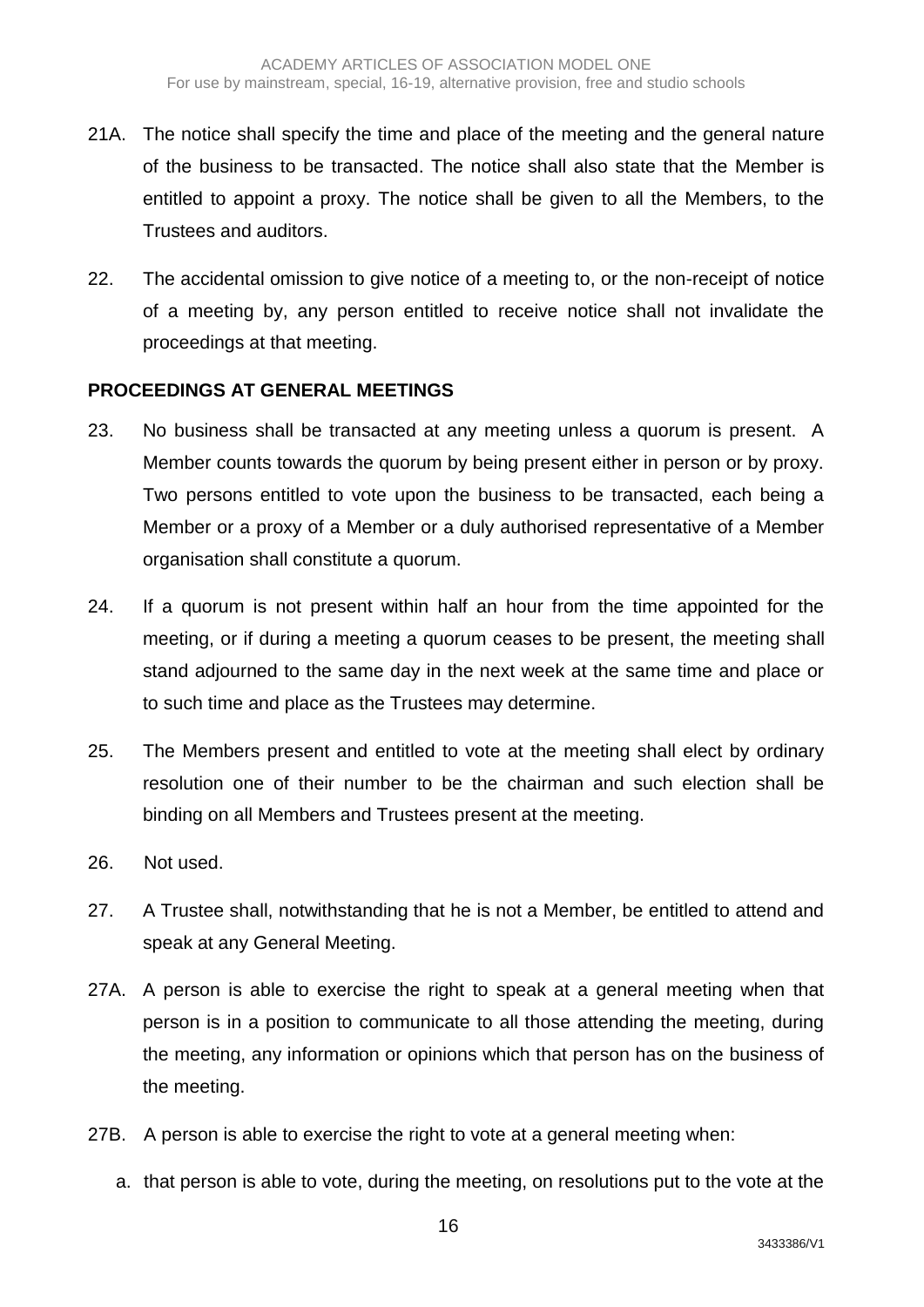- 21A. The notice shall specify the time and place of the meeting and the general nature of the business to be transacted. The notice shall also state that the Member is entitled to appoint a proxy. The notice shall be given to all the Members, to the Trustees and auditors.
- 22. The accidental omission to give notice of a meeting to, or the non-receipt of notice of a meeting by, any person entitled to receive notice shall not invalidate the proceedings at that meeting.

#### **PROCEEDINGS AT GENERAL MEETINGS**

- 23. No business shall be transacted at any meeting unless a quorum is present. A Member counts towards the quorum by being present either in person or by proxy. Two persons entitled to vote upon the business to be transacted, each being a Member or a proxy of a Member or a duly authorised representative of a Member organisation shall constitute a quorum.
- 24. If a quorum is not present within half an hour from the time appointed for the meeting, or if during a meeting a quorum ceases to be present, the meeting shall stand adjourned to the same day in the next week at the same time and place or to such time and place as the Trustees may determine.
- 25. The Members present and entitled to vote at the meeting shall elect by ordinary resolution one of their number to be the chairman and such election shall be binding on all Members and Trustees present at the meeting.
- 26. Not used.
- 27. A Trustee shall, notwithstanding that he is not a Member, be entitled to attend and speak at any General Meeting.
- 27A. A person is able to exercise the right to speak at a general meeting when that person is in a position to communicate to all those attending the meeting, during the meeting, any information or opinions which that person has on the business of the meeting.
- 27B. A person is able to exercise the right to vote at a general meeting when:
	- a. that person is able to vote, during the meeting, on resolutions put to the vote at the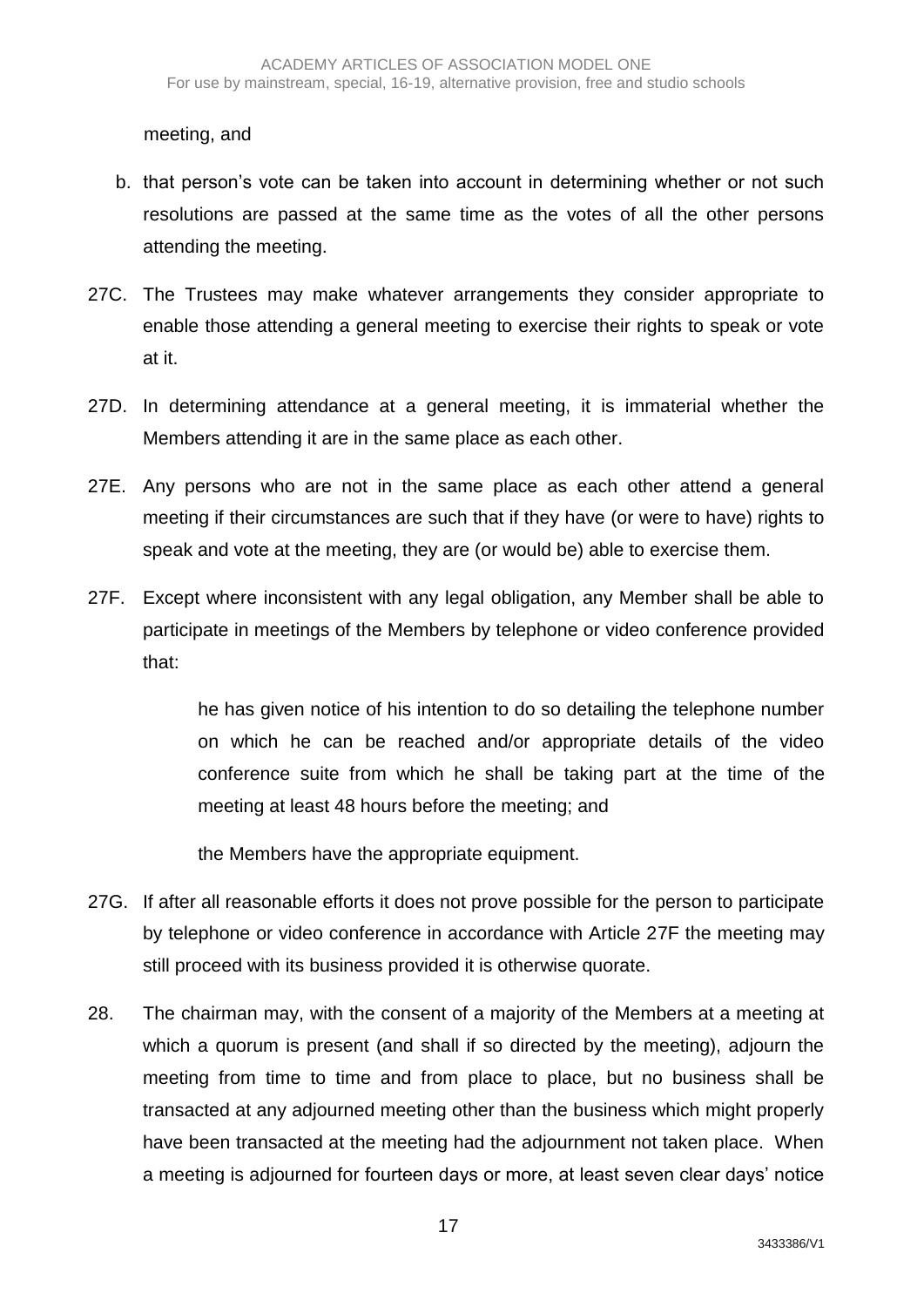meeting, and

- b. that person's vote can be taken into account in determining whether or not such resolutions are passed at the same time as the votes of all the other persons attending the meeting.
- 27C. The Trustees may make whatever arrangements they consider appropriate to enable those attending a general meeting to exercise their rights to speak or vote at it.
- 27D. In determining attendance at a general meeting, it is immaterial whether the Members attending it are in the same place as each other.
- 27E. Any persons who are not in the same place as each other attend a general meeting if their circumstances are such that if they have (or were to have) rights to speak and vote at the meeting, they are (or would be) able to exercise them.
- 27F. Except where inconsistent with any legal obligation, any Member shall be able to participate in meetings of the Members by telephone or video conference provided that:

he has given notice of his intention to do so detailing the telephone number on which he can be reached and/or appropriate details of the video conference suite from which he shall be taking part at the time of the meeting at least 48 hours before the meeting; and

the Members have the appropriate equipment.

- 27G. If after all reasonable efforts it does not prove possible for the person to participate by telephone or video conference in accordance with Article 27F the meeting may still proceed with its business provided it is otherwise quorate.
- 28. The chairman may, with the consent of a majority of the Members at a meeting at which a quorum is present (and shall if so directed by the meeting), adjourn the meeting from time to time and from place to place, but no business shall be transacted at any adjourned meeting other than the business which might properly have been transacted at the meeting had the adjournment not taken place. When a meeting is adjourned for fourteen days or more, at least seven clear days' notice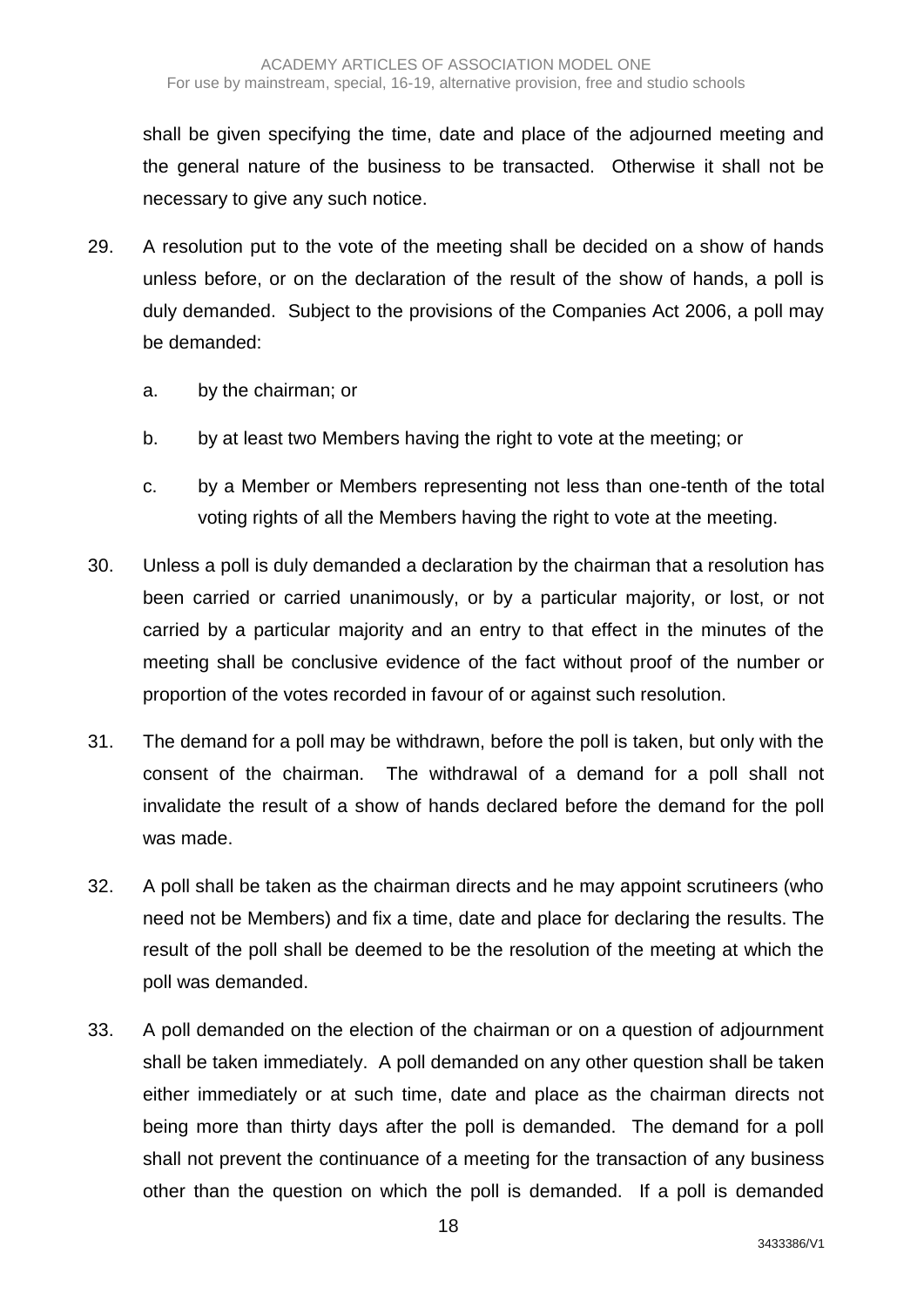shall be given specifying the time, date and place of the adjourned meeting and the general nature of the business to be transacted. Otherwise it shall not be necessary to give any such notice.

- 29. A resolution put to the vote of the meeting shall be decided on a show of hands unless before, or on the declaration of the result of the show of hands, a poll is duly demanded. Subject to the provisions of the Companies Act 2006, a poll may be demanded:
	- a. by the chairman; or
	- b. by at least two Members having the right to vote at the meeting; or
	- c. by a Member or Members representing not less than one-tenth of the total voting rights of all the Members having the right to vote at the meeting.
- 30. Unless a poll is duly demanded a declaration by the chairman that a resolution has been carried or carried unanimously, or by a particular majority, or lost, or not carried by a particular majority and an entry to that effect in the minutes of the meeting shall be conclusive evidence of the fact without proof of the number or proportion of the votes recorded in favour of or against such resolution.
- 31. The demand for a poll may be withdrawn, before the poll is taken, but only with the consent of the chairman. The withdrawal of a demand for a poll shall not invalidate the result of a show of hands declared before the demand for the poll was made.
- 32. A poll shall be taken as the chairman directs and he may appoint scrutineers (who need not be Members) and fix a time, date and place for declaring the results. The result of the poll shall be deemed to be the resolution of the meeting at which the poll was demanded.
- 33. A poll demanded on the election of the chairman or on a question of adjournment shall be taken immediately. A poll demanded on any other question shall be taken either immediately or at such time, date and place as the chairman directs not being more than thirty days after the poll is demanded. The demand for a poll shall not prevent the continuance of a meeting for the transaction of any business other than the question on which the poll is demanded. If a poll is demanded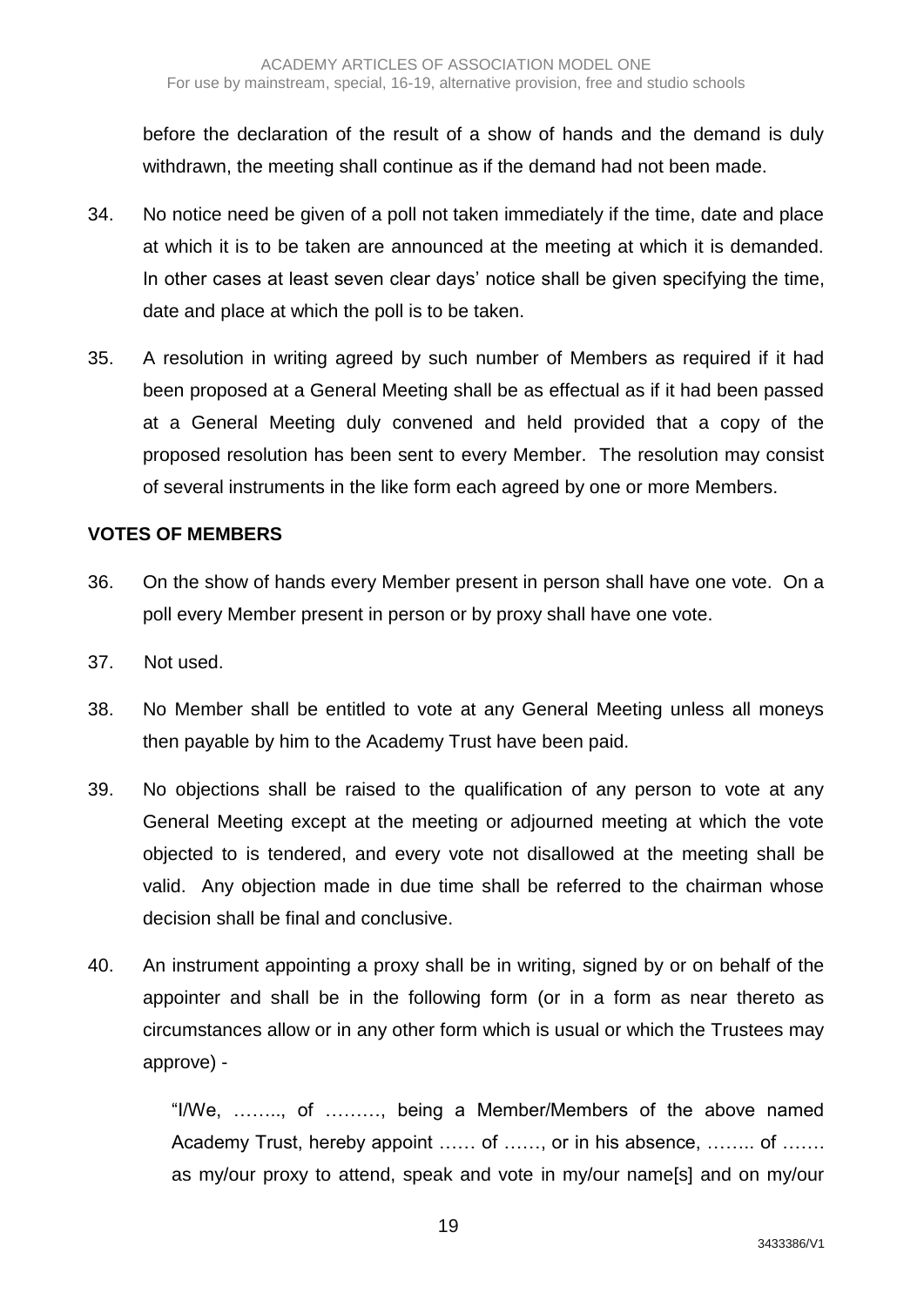before the declaration of the result of a show of hands and the demand is duly withdrawn, the meeting shall continue as if the demand had not been made.

- 34. No notice need be given of a poll not taken immediately if the time, date and place at which it is to be taken are announced at the meeting at which it is demanded. In other cases at least seven clear days' notice shall be given specifying the time, date and place at which the poll is to be taken.
- 35. A resolution in writing agreed by such number of Members as required if it had been proposed at a General Meeting shall be as effectual as if it had been passed at a General Meeting duly convened and held provided that a copy of the proposed resolution has been sent to every Member. The resolution may consist of several instruments in the like form each agreed by one or more Members.

### **VOTES OF MEMBERS**

- 36. On the show of hands every Member present in person shall have one vote. On a poll every Member present in person or by proxy shall have one vote.
- 37. Not used.
- 38. No Member shall be entitled to vote at any General Meeting unless all moneys then payable by him to the Academy Trust have been paid.
- 39. No objections shall be raised to the qualification of any person to vote at any General Meeting except at the meeting or adjourned meeting at which the vote objected to is tendered, and every vote not disallowed at the meeting shall be valid. Any objection made in due time shall be referred to the chairman whose decision shall be final and conclusive.
- 40. An instrument appointing a proxy shall be in writing, signed by or on behalf of the appointer and shall be in the following form (or in a form as near thereto as circumstances allow or in any other form which is usual or which the Trustees may approve) -

"I/We, …….., of ………, being a Member/Members of the above named Academy Trust, hereby appoint …… of ……, or in his absence, …….. of ……. as my/our proxy to attend, speak and vote in my/our name[s] and on my/our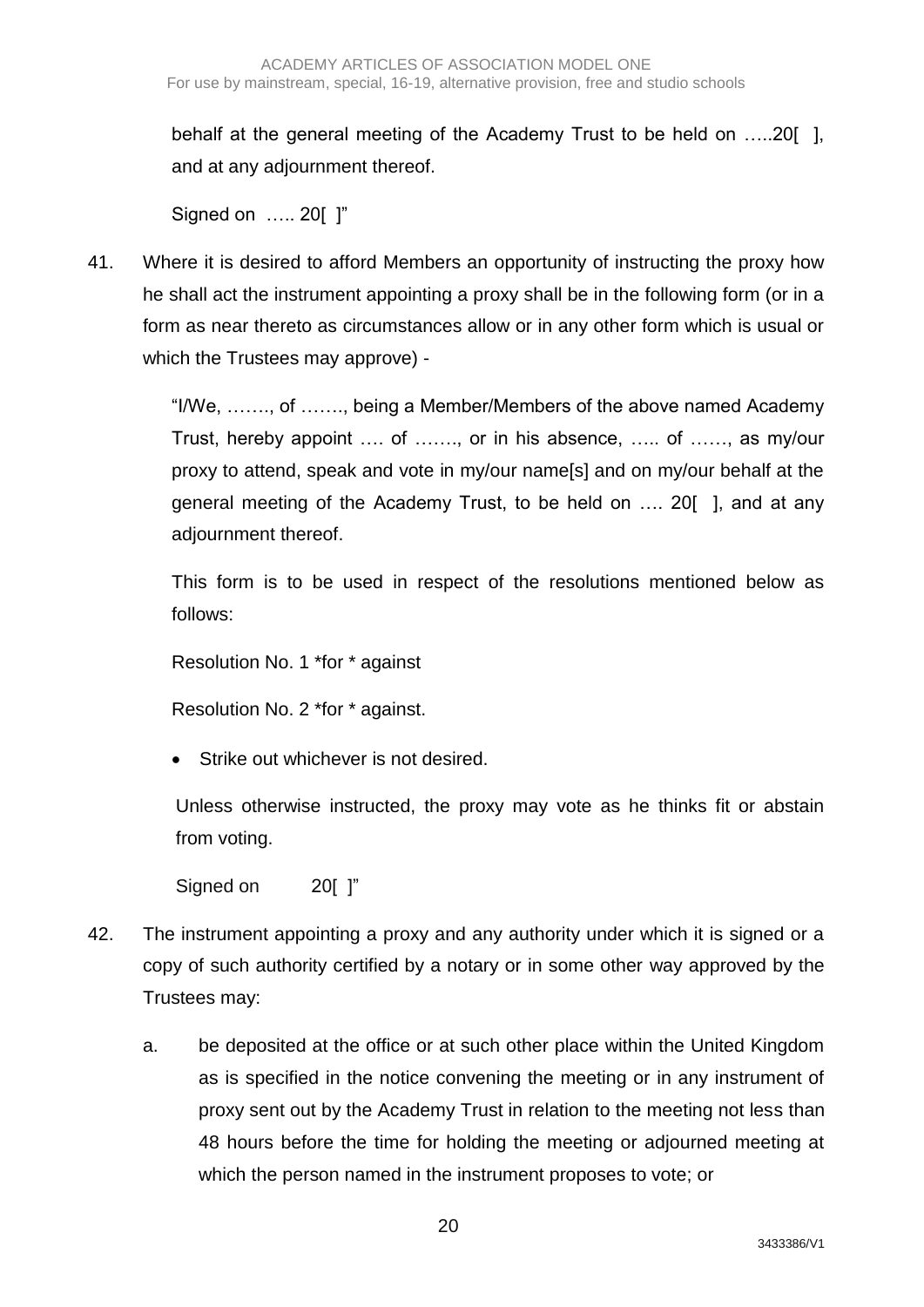behalf at the general meeting of the Academy Trust to be held on …..20[ ], and at any adjournment thereof.

Signed on ….. 20[ ]"

41. Where it is desired to afford Members an opportunity of instructing the proxy how he shall act the instrument appointing a proxy shall be in the following form (or in a form as near thereto as circumstances allow or in any other form which is usual or which the Trustees may approve) -

> "I/We, ……., of ……., being a Member/Members of the above named Academy Trust, hereby appoint …. of ……., or in his absence, ….. of ……, as my/our proxy to attend, speak and vote in my/our name[s] and on my/our behalf at the general meeting of the Academy Trust, to be held on …. 20[ ], and at any adjournment thereof.

> This form is to be used in respect of the resolutions mentioned below as follows:

Resolution No. 1 \*for \* against

Resolution No. 2 \*for \* against.

**Strike out whichever is not desired.** 

Unless otherwise instructed, the proxy may vote as he thinks fit or abstain from voting.

Signed on 20[ ]"

- 42. The instrument appointing a proxy and any authority under which it is signed or a copy of such authority certified by a notary or in some other way approved by the Trustees may:
	- a. be deposited at the office or at such other place within the United Kingdom as is specified in the notice convening the meeting or in any instrument of proxy sent out by the Academy Trust in relation to the meeting not less than 48 hours before the time for holding the meeting or adjourned meeting at which the person named in the instrument proposes to vote; or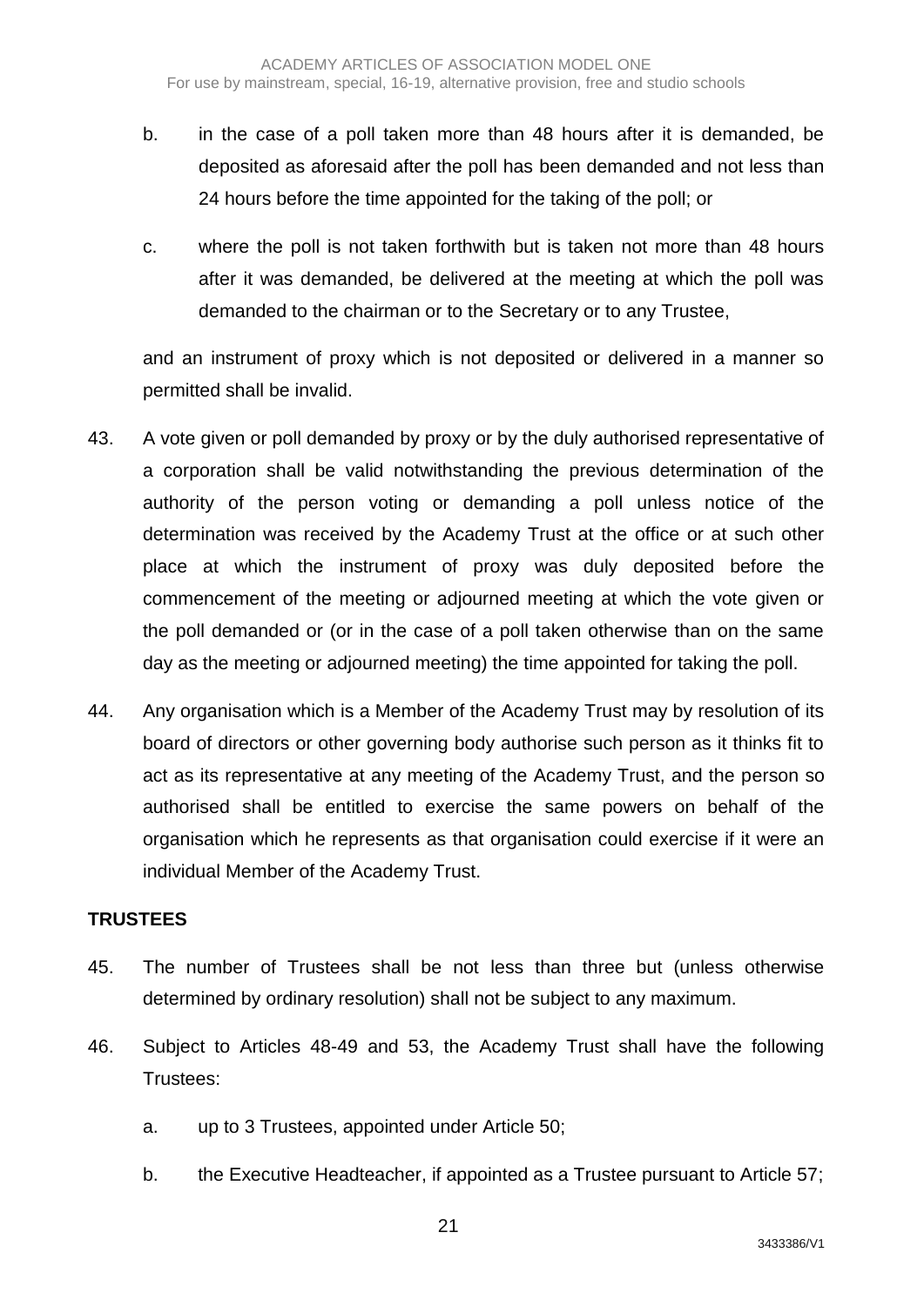- b. in the case of a poll taken more than 48 hours after it is demanded, be deposited as aforesaid after the poll has been demanded and not less than 24 hours before the time appointed for the taking of the poll; or
- c. where the poll is not taken forthwith but is taken not more than 48 hours after it was demanded, be delivered at the meeting at which the poll was demanded to the chairman or to the Secretary or to any Trustee,

and an instrument of proxy which is not deposited or delivered in a manner so permitted shall be invalid.

- 43. A vote given or poll demanded by proxy or by the duly authorised representative of a corporation shall be valid notwithstanding the previous determination of the authority of the person voting or demanding a poll unless notice of the determination was received by the Academy Trust at the office or at such other place at which the instrument of proxy was duly deposited before the commencement of the meeting or adjourned meeting at which the vote given or the poll demanded or (or in the case of a poll taken otherwise than on the same day as the meeting or adjourned meeting) the time appointed for taking the poll.
- 44. Any organisation which is a Member of the Academy Trust may by resolution of its board of directors or other governing body authorise such person as it thinks fit to act as its representative at any meeting of the Academy Trust, and the person so authorised shall be entitled to exercise the same powers on behalf of the organisation which he represents as that organisation could exercise if it were an individual Member of the Academy Trust.

#### **TRUSTEES**

- 45. The number of Trustees shall be not less than three but (unless otherwise determined by ordinary resolution) shall not be subject to any maximum.
- 46. Subject to Articles 48-49 and 53, the Academy Trust shall have the following Trustees:
	- a. up to 3 Trustees, appointed under Article 50;
	- b. the Executive Headteacher, if appointed as a Trustee pursuant to Article 57;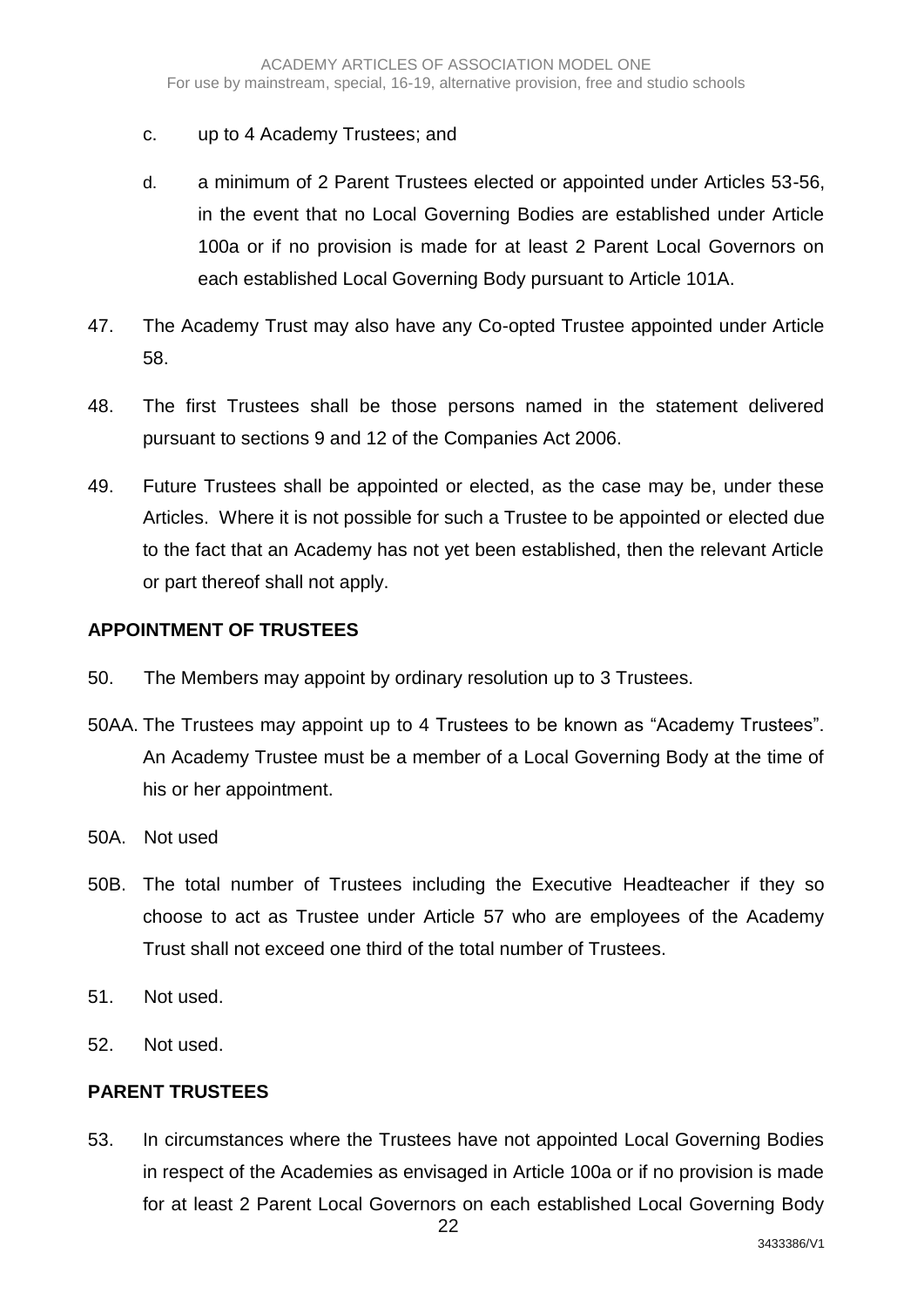- c. up to 4 Academy Trustees; and
- d. a minimum of 2 Parent Trustees elected or appointed under Articles 53-56, in the event that no Local Governing Bodies are established under Article 100a or if no provision is made for at least 2 Parent Local Governors on each established Local Governing Body pursuant to Article 101A.
- 47. The Academy Trust may also have any Co-opted Trustee appointed under Article 58.
- 48. The first Trustees shall be those persons named in the statement delivered pursuant to sections 9 and 12 of the Companies Act 2006.
- 49. Future Trustees shall be appointed or elected, as the case may be, under these Articles. Where it is not possible for such a Trustee to be appointed or elected due to the fact that an Academy has not yet been established, then the relevant Article or part thereof shall not apply.

### **APPOINTMENT OF TRUSTEES**

- 50. The Members may appoint by ordinary resolution up to 3 Trustees.
- 50AA. The Trustees may appoint up to 4 Trustees to be known as "Academy Trustees". An Academy Trustee must be a member of a Local Governing Body at the time of his or her appointment.
- 50A. Not used
- 50B. The total number of Trustees including the Executive Headteacher if they so choose to act as Trustee under Article 57 who are employees of the Academy Trust shall not exceed one third of the total number of Trustees.
- 51. Not used.
- 52. Not used.

# **PARENT TRUSTEES**

53. In circumstances where the Trustees have not appointed Local Governing Bodies in respect of the Academies as envisaged in Article 100a or if no provision is made for at least 2 Parent Local Governors on each established Local Governing Body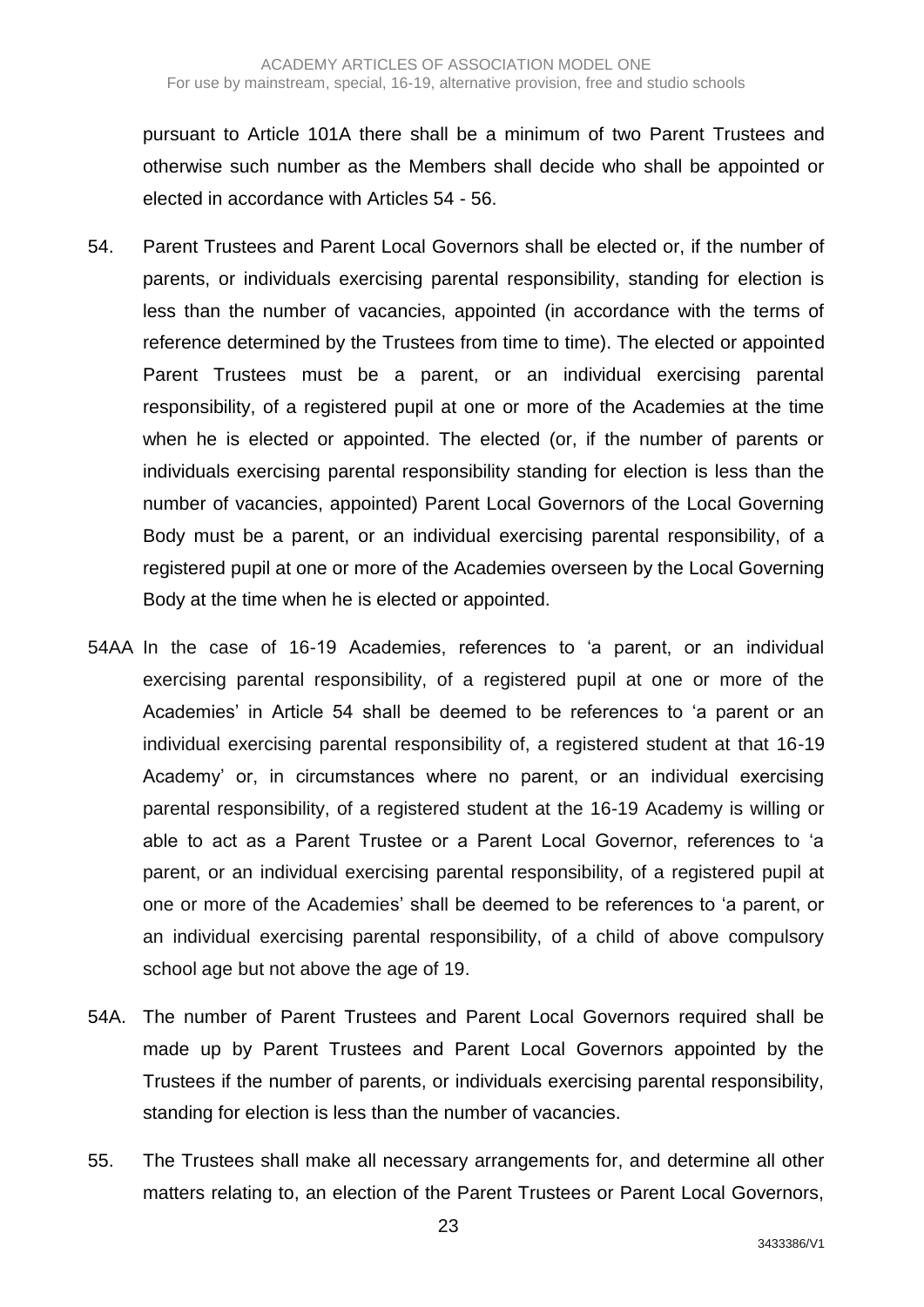pursuant to Article 101A there shall be a minimum of two Parent Trustees and otherwise such number as the Members shall decide who shall be appointed or elected in accordance with Articles 54 - 56.

- 54. Parent Trustees and Parent Local Governors shall be elected or, if the number of parents, or individuals exercising parental responsibility, standing for election is less than the number of vacancies, appointed (in accordance with the terms of reference determined by the Trustees from time to time). The elected or appointed Parent Trustees must be a parent, or an individual exercising parental responsibility, of a registered pupil at one or more of the Academies at the time when he is elected or appointed. The elected (or, if the number of parents or individuals exercising parental responsibility standing for election is less than the number of vacancies, appointed) Parent Local Governors of the Local Governing Body must be a parent, or an individual exercising parental responsibility, of a registered pupil at one or more of the Academies overseen by the Local Governing Body at the time when he is elected or appointed.
- 54AA In the case of 16-19 Academies, references to 'a parent, or an individual exercising parental responsibility, of a registered pupil at one or more of the Academies' in Article 54 shall be deemed to be references to 'a parent or an individual exercising parental responsibility of, a registered student at that 16-19 Academy' or, in circumstances where no parent, or an individual exercising parental responsibility, of a registered student at the 16-19 Academy is willing or able to act as a Parent Trustee or a Parent Local Governor, references to 'a parent, or an individual exercising parental responsibility, of a registered pupil at one or more of the Academies' shall be deemed to be references to 'a parent, or an individual exercising parental responsibility, of a child of above compulsory school age but not above the age of 19.
- 54A. The number of Parent Trustees and Parent Local Governors required shall be made up by Parent Trustees and Parent Local Governors appointed by the Trustees if the number of parents, or individuals exercising parental responsibility, standing for election is less than the number of vacancies.
- 55. The Trustees shall make all necessary arrangements for, and determine all other matters relating to, an election of the Parent Trustees or Parent Local Governors,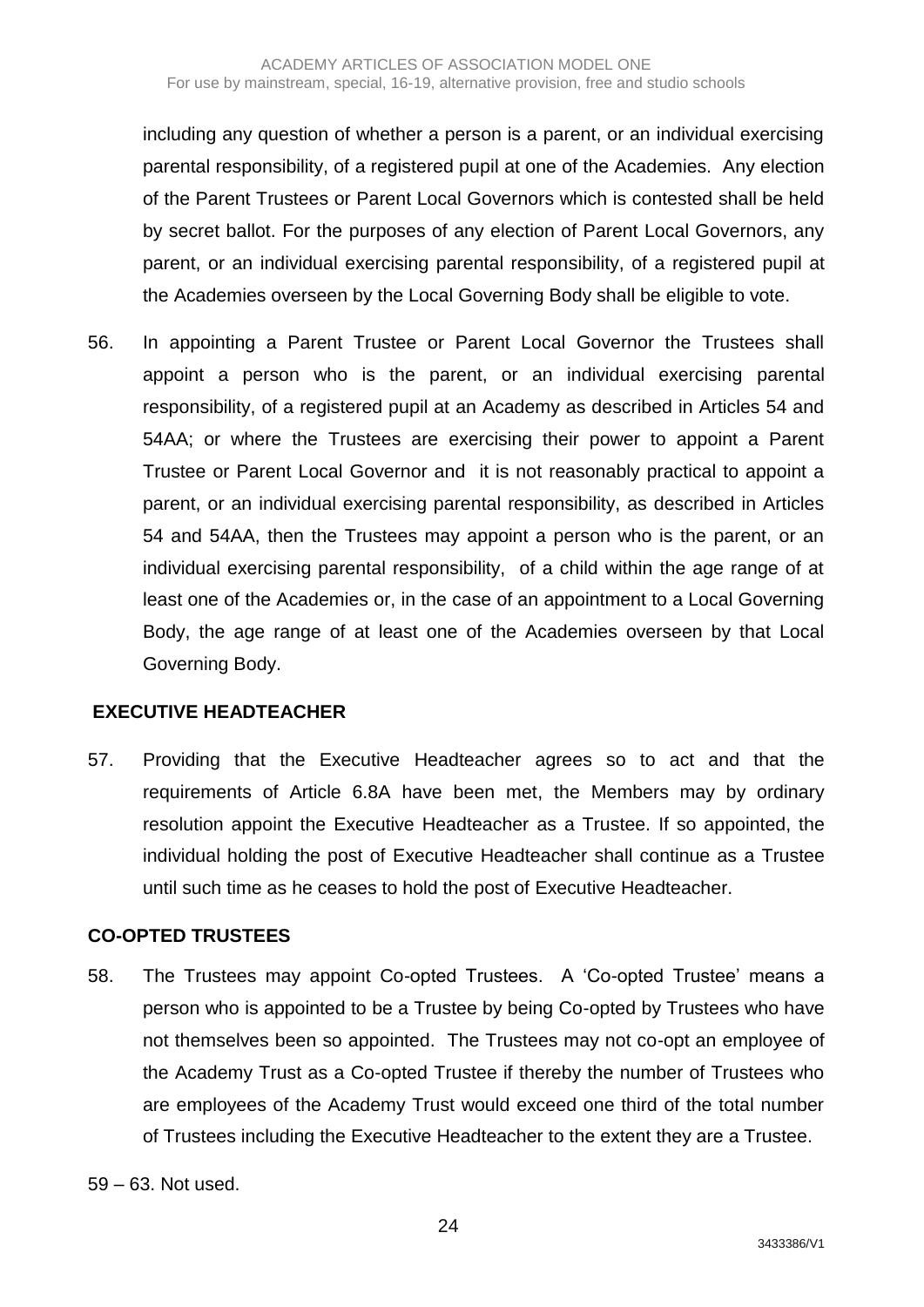including any question of whether a person is a parent, or an individual exercising parental responsibility, of a registered pupil at one of the Academies. Any election of the Parent Trustees or Parent Local Governors which is contested shall be held by secret ballot. For the purposes of any election of Parent Local Governors, any parent, or an individual exercising parental responsibility, of a registered pupil at the Academies overseen by the Local Governing Body shall be eligible to vote.

56. In appointing a Parent Trustee or Parent Local Governor the Trustees shall appoint a person who is the parent, or an individual exercising parental responsibility, of a registered pupil at an Academy as described in Articles 54 and 54AA; or where the Trustees are exercising their power to appoint a Parent Trustee or Parent Local Governor and it is not reasonably practical to appoint a parent, or an individual exercising parental responsibility, as described in Articles 54 and 54AA, then the Trustees may appoint a person who is the parent, or an individual exercising parental responsibility, of a child within the age range of at least one of the Academies or, in the case of an appointment to a Local Governing Body, the age range of at least one of the Academies overseen by that Local Governing Body.

# **EXECUTIVE HEADTEACHER**

57. Providing that the Executive Headteacher agrees so to act and that the requirements of Article 6.8A have been met, the Members may by ordinary resolution appoint the Executive Headteacher as a Trustee. If so appointed, the individual holding the post of Executive Headteacher shall continue as a Trustee until such time as he ceases to hold the post of Executive Headteacher.

# **CO-OPTED TRUSTEES**

58. The Trustees may appoint Co-opted Trustees. A 'Co-opted Trustee' means a person who is appointed to be a Trustee by being Co-opted by Trustees who have not themselves been so appointed. The Trustees may not co-opt an employee of the Academy Trust as a Co-opted Trustee if thereby the number of Trustees who are employees of the Academy Trust would exceed one third of the total number of Trustees including the Executive Headteacher to the extent they are a Trustee.

59 – 63. Not used.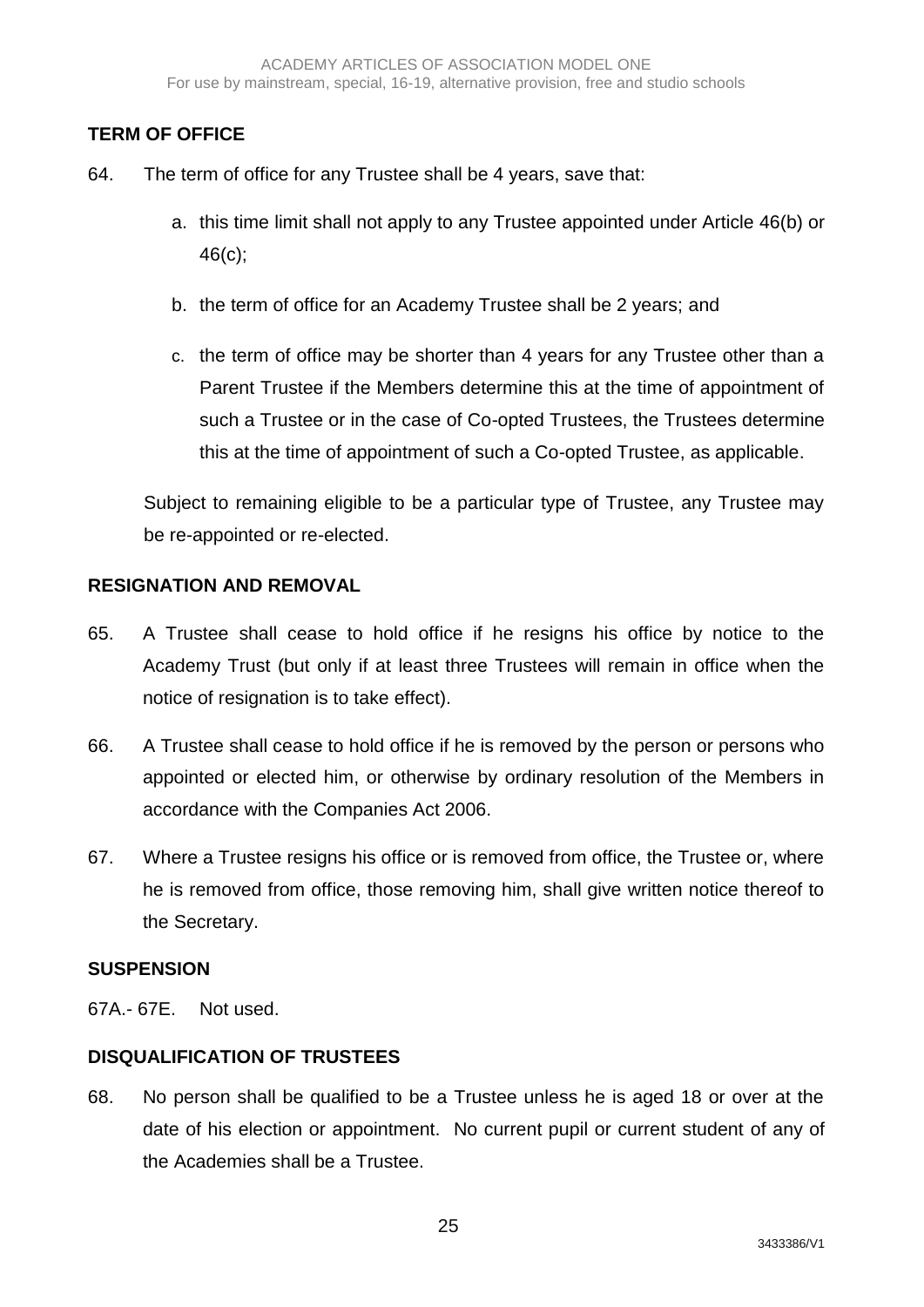# **TERM OF OFFICE**

- 64. The term of office for any Trustee shall be 4 years, save that:
	- a. this time limit shall not apply to any Trustee appointed under Article 46(b) or 46(c);
	- b. the term of office for an Academy Trustee shall be 2 years; and
	- c. the term of office may be shorter than 4 years for any Trustee other than a Parent Trustee if the Members determine this at the time of appointment of such a Trustee or in the case of Co-opted Trustees, the Trustees determine this at the time of appointment of such a Co-opted Trustee, as applicable.

Subject to remaining eligible to be a particular type of Trustee, any Trustee may be re-appointed or re-elected.

#### **RESIGNATION AND REMOVAL**

- 65. A Trustee shall cease to hold office if he resigns his office by notice to the Academy Trust (but only if at least three Trustees will remain in office when the notice of resignation is to take effect).
- 66. A Trustee shall cease to hold office if he is removed by the person or persons who appointed or elected him, or otherwise by ordinary resolution of the Members in accordance with the Companies Act 2006.
- 67. Where a Trustee resigns his office or is removed from office, the Trustee or, where he is removed from office, those removing him, shall give written notice thereof to the Secretary.

#### **SUSPENSION**

67A.- 67E. Not used.

# **DISQUALIFICATION OF TRUSTEES**

68. No person shall be qualified to be a Trustee unless he is aged 18 or over at the date of his election or appointment. No current pupil or current student of any of the Academies shall be a Trustee.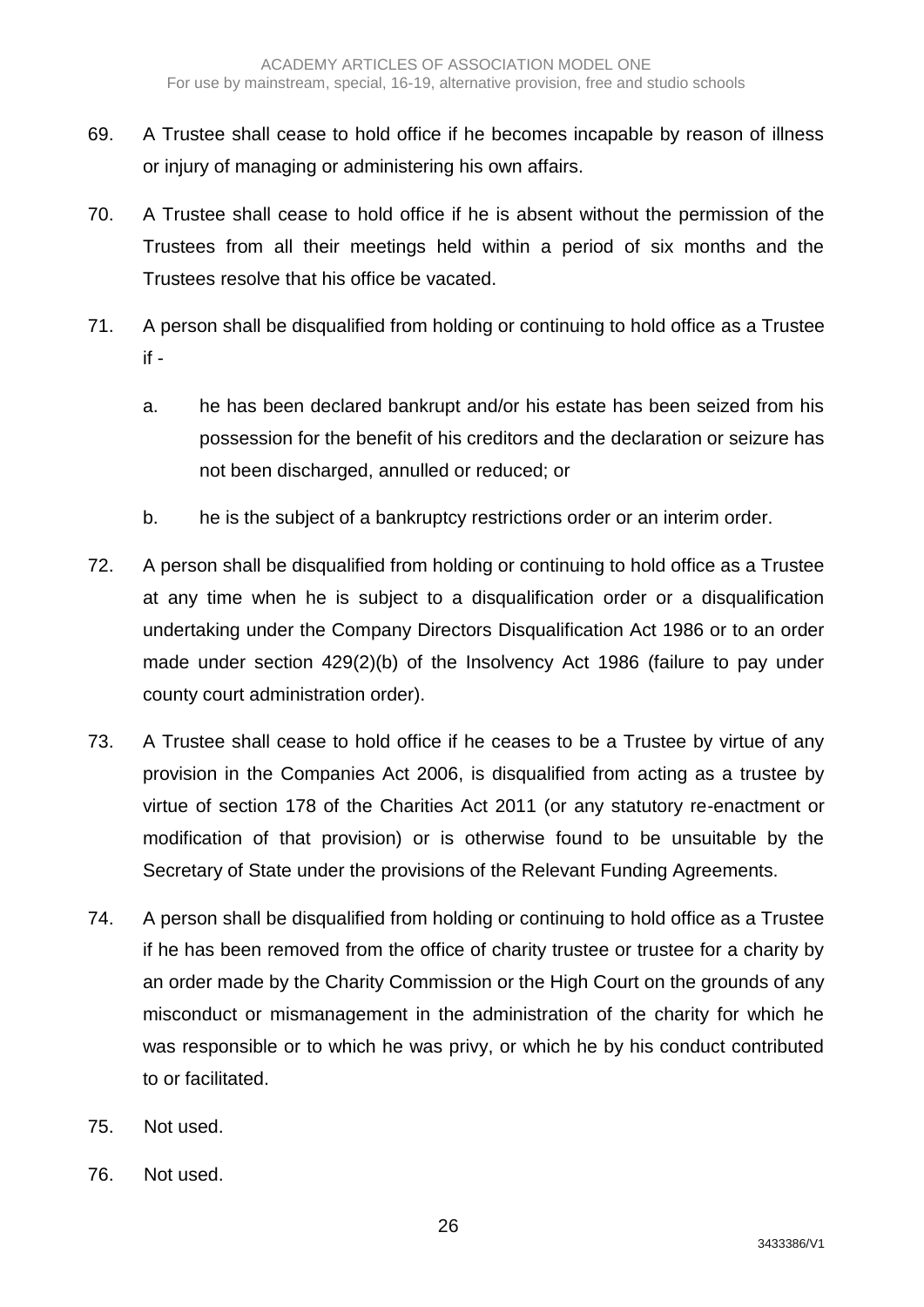- 69. A Trustee shall cease to hold office if he becomes incapable by reason of illness or injury of managing or administering his own affairs.
- 70. A Trustee shall cease to hold office if he is absent without the permission of the Trustees from all their meetings held within a period of six months and the Trustees resolve that his office be vacated.
- 71. A person shall be disqualified from holding or continuing to hold office as a Trustee if
	- a. he has been declared bankrupt and/or his estate has been seized from his possession for the benefit of his creditors and the declaration or seizure has not been discharged, annulled or reduced; or
	- b. he is the subject of a bankruptcy restrictions order or an interim order.
- 72. A person shall be disqualified from holding or continuing to hold office as a Trustee at any time when he is subject to a disqualification order or a disqualification undertaking under the Company Directors Disqualification Act 1986 or to an order made under section 429(2)(b) of the Insolvency Act 1986 (failure to pay under county court administration order).
- 73. A Trustee shall cease to hold office if he ceases to be a Trustee by virtue of any provision in the Companies Act 2006, is disqualified from acting as a trustee by virtue of section 178 of the Charities Act 2011 (or any statutory re-enactment or modification of that provision) or is otherwise found to be unsuitable by the Secretary of State under the provisions of the Relevant Funding Agreements.
- 74. A person shall be disqualified from holding or continuing to hold office as a Trustee if he has been removed from the office of charity trustee or trustee for a charity by an order made by the Charity Commission or the High Court on the grounds of any misconduct or mismanagement in the administration of the charity for which he was responsible or to which he was privy, or which he by his conduct contributed to or facilitated.
- 75. Not used.
- 76. Not used.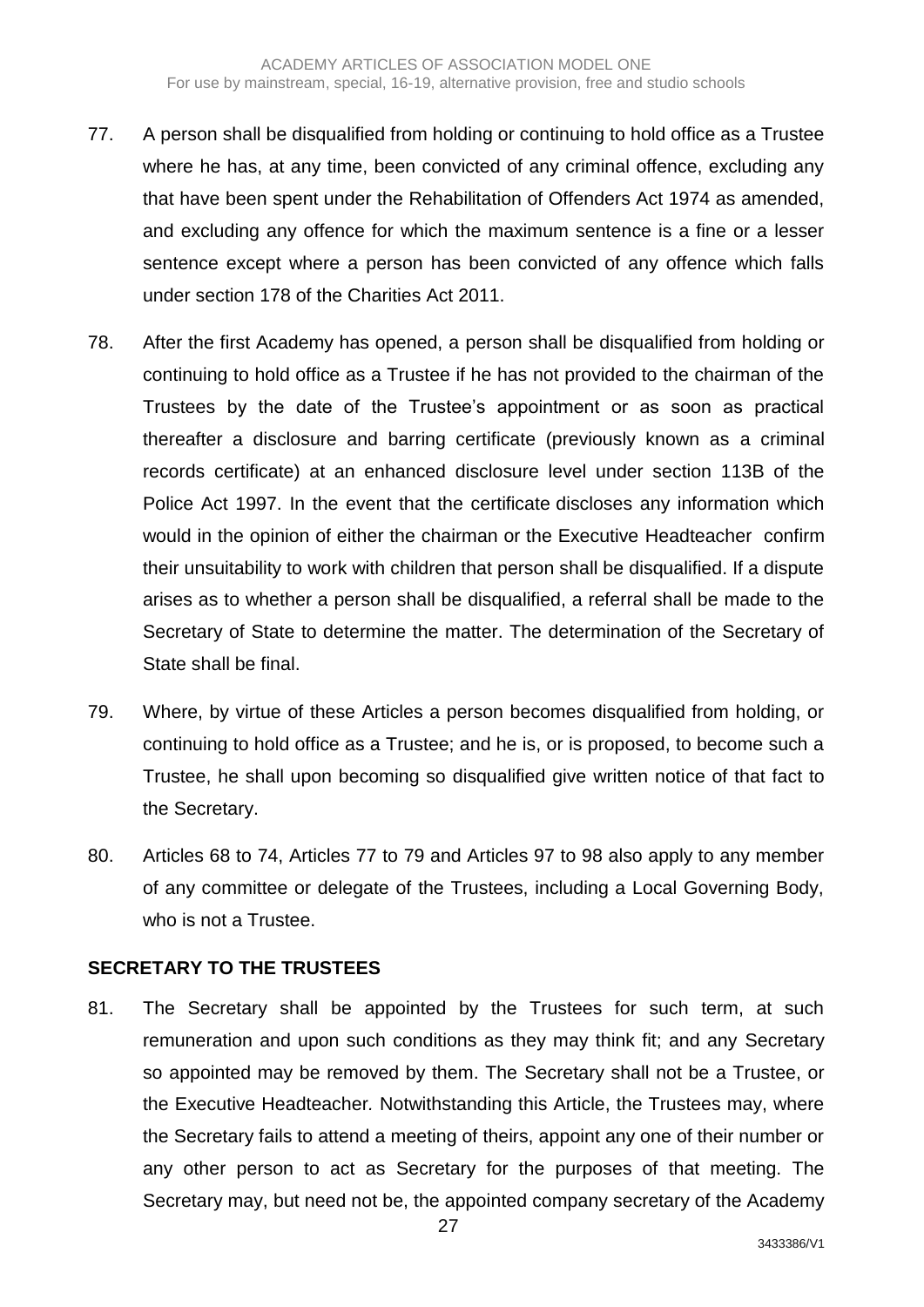- 77. A person shall be disqualified from holding or continuing to hold office as a Trustee where he has, at any time, been convicted of any criminal offence, excluding any that have been spent under the Rehabilitation of Offenders Act 1974 as amended, and excluding any offence for which the maximum sentence is a fine or a lesser sentence except where a person has been convicted of any offence which falls under section 178 of the Charities Act 2011.
- 78. After the first Academy has opened, a person shall be disqualified from holding or continuing to hold office as a Trustee if he has not provided to the chairman of the Trustees by the date of the Trustee's appointment or as soon as practical thereafter a disclosure and barring certificate (previously known as a criminal records certificate) at an enhanced disclosure level under section 113B of the Police Act 1997. In the event that the certificate discloses any information which would in the opinion of either the chairman or the Executive Headteacher confirm their unsuitability to work with children that person shall be disqualified. If a dispute arises as to whether a person shall be disqualified, a referral shall be made to the Secretary of State to determine the matter. The determination of the Secretary of State shall be final.
- 79. Where, by virtue of these Articles a person becomes disqualified from holding, or continuing to hold office as a Trustee; and he is, or is proposed, to become such a Trustee, he shall upon becoming so disqualified give written notice of that fact to the Secretary.
- 80. Articles 68 to 74, Articles 77 to 79 and Articles 97 to 98 also apply to any member of any committee or delegate of the Trustees, including a Local Governing Body, who is not a Trustee.

#### **SECRETARY TO THE TRUSTEES**

81. The Secretary shall be appointed by the Trustees for such term, at such remuneration and upon such conditions as they may think fit; and any Secretary so appointed may be removed by them. The Secretary shall not be a Trustee, or the Executive Headteacher*.* Notwithstanding this Article, the Trustees may, where the Secretary fails to attend a meeting of theirs, appoint any one of their number or any other person to act as Secretary for the purposes of that meeting. The Secretary may, but need not be, the appointed company secretary of the Academy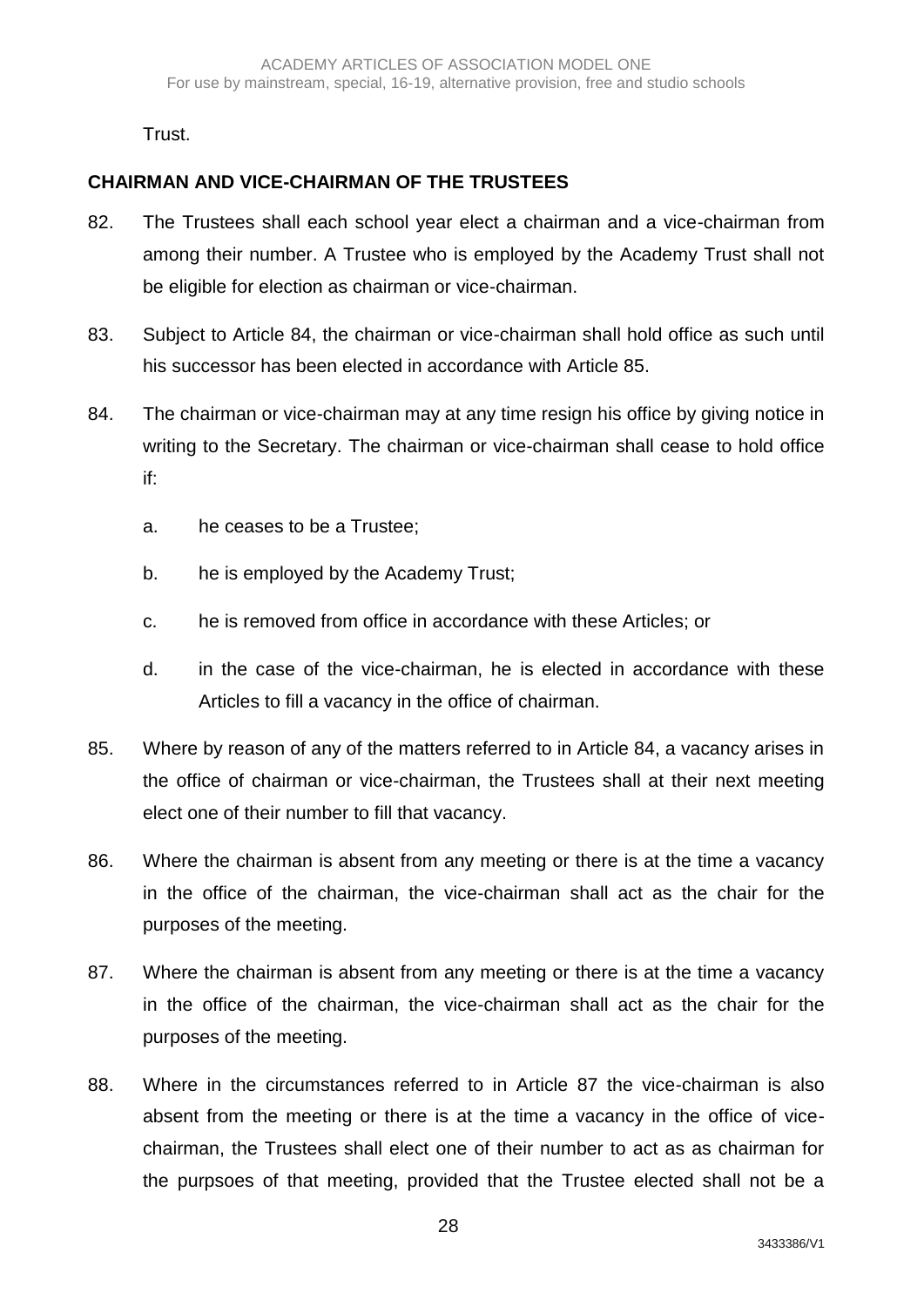Trust.

# **CHAIRMAN AND VICE-CHAIRMAN OF THE TRUSTEES**

- 82. The Trustees shall each school year elect a chairman and a vice-chairman from among their number. A Trustee who is employed by the Academy Trust shall not be eligible for election as chairman or vice-chairman.
- 83. Subject to Article 84, the chairman or vice-chairman shall hold office as such until his successor has been elected in accordance with Article 85.
- 84. The chairman or vice-chairman may at any time resign his office by giving notice in writing to the Secretary. The chairman or vice-chairman shall cease to hold office if:
	- a. he ceases to be a Trustee;
	- b. he is employed by the Academy Trust;
	- c. he is removed from office in accordance with these Articles; or
	- d. in the case of the vice-chairman, he is elected in accordance with these Articles to fill a vacancy in the office of chairman.
- 85. Where by reason of any of the matters referred to in Article 84, a vacancy arises in the office of chairman or vice-chairman, the Trustees shall at their next meeting elect one of their number to fill that vacancy.
- 86. Where the chairman is absent from any meeting or there is at the time a vacancy in the office of the chairman, the vice-chairman shall act as the chair for the purposes of the meeting.
- 87. Where the chairman is absent from any meeting or there is at the time a vacancy in the office of the chairman, the vice-chairman shall act as the chair for the purposes of the meeting.
- 88. Where in the circumstances referred to in Article 87 the vice-chairman is also absent from the meeting or there is at the time a vacancy in the office of vicechairman, the Trustees shall elect one of their number to act as as chairman for the purpsoes of that meeting, provided that the Trustee elected shall not be a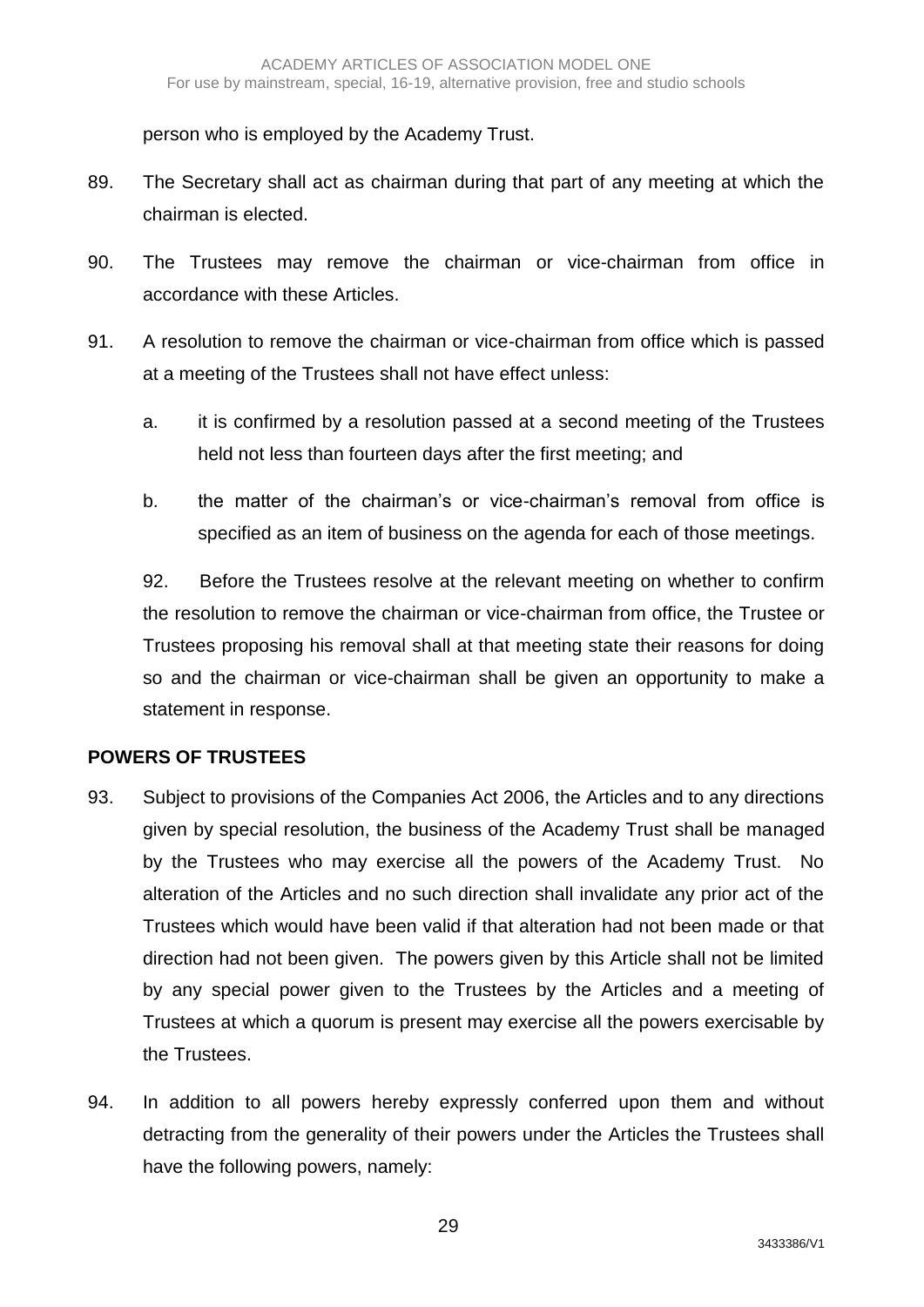person who is employed by the Academy Trust.

- 89. The Secretary shall act as chairman during that part of any meeting at which the chairman is elected.
- 90. The Trustees may remove the chairman or vice-chairman from office in accordance with these Articles.
- 91. A resolution to remove the chairman or vice-chairman from office which is passed at a meeting of the Trustees shall not have effect unless:
	- a. it is confirmed by a resolution passed at a second meeting of the Trustees held not less than fourteen days after the first meeting; and
	- b. the matter of the chairman's or vice-chairman's removal from office is specified as an item of business on the agenda for each of those meetings.

92. Before the Trustees resolve at the relevant meeting on whether to confirm the resolution to remove the chairman or vice-chairman from office, the Trustee or Trustees proposing his removal shall at that meeting state their reasons for doing so and the chairman or vice-chairman shall be given an opportunity to make a statement in response.

# **POWERS OF TRUSTEES**

- 93. Subject to provisions of the Companies Act 2006, the Articles and to any directions given by special resolution, the business of the Academy Trust shall be managed by the Trustees who may exercise all the powers of the Academy Trust. No alteration of the Articles and no such direction shall invalidate any prior act of the Trustees which would have been valid if that alteration had not been made or that direction had not been given. The powers given by this Article shall not be limited by any special power given to the Trustees by the Articles and a meeting of Trustees at which a quorum is present may exercise all the powers exercisable by the Trustees.
- 94. In addition to all powers hereby expressly conferred upon them and without detracting from the generality of their powers under the Articles the Trustees shall have the following powers, namely: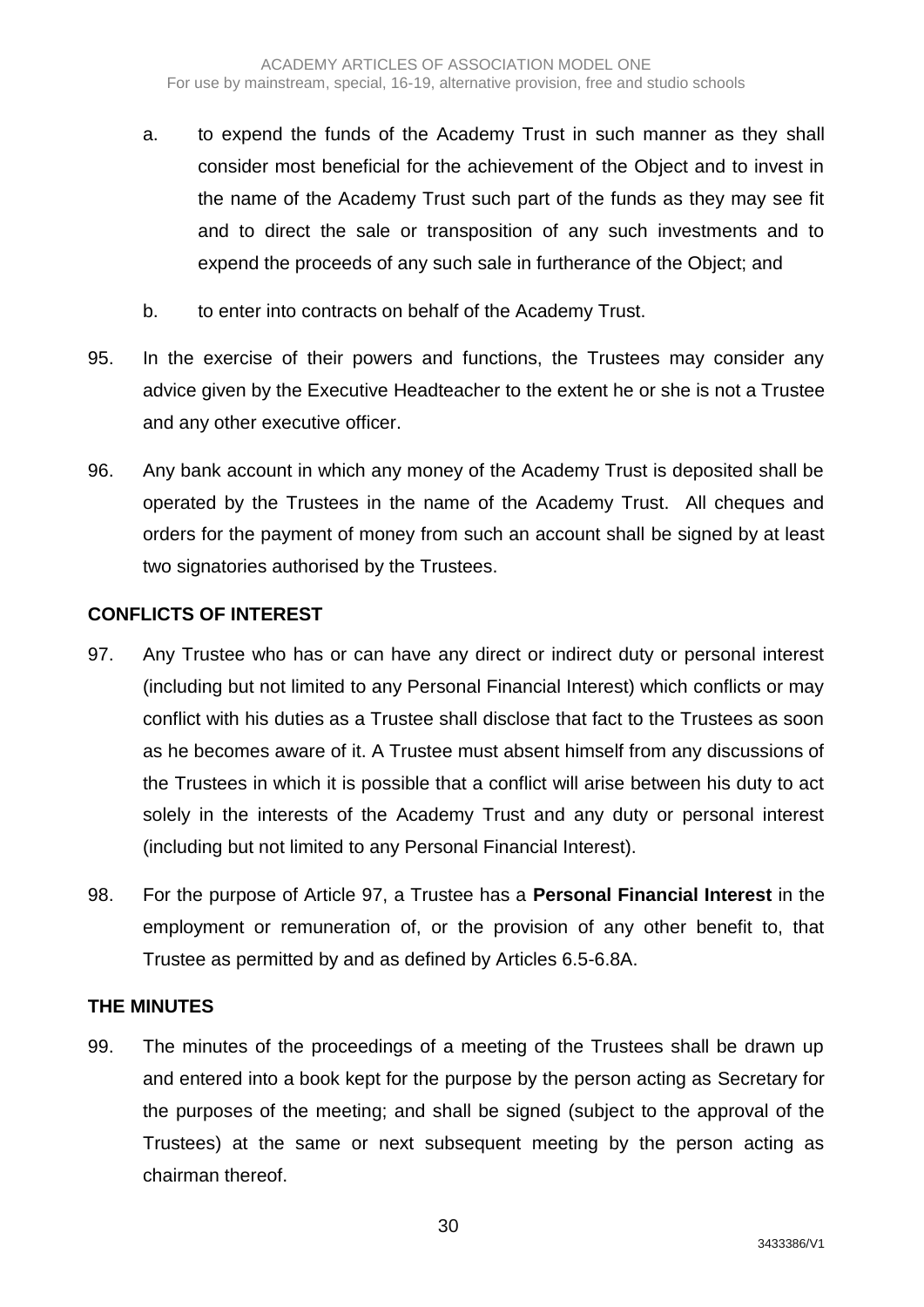- a. to expend the funds of the Academy Trust in such manner as they shall consider most beneficial for the achievement of the Object and to invest in the name of the Academy Trust such part of the funds as they may see fit and to direct the sale or transposition of any such investments and to expend the proceeds of any such sale in furtherance of the Object; and
- b. to enter into contracts on behalf of the Academy Trust.
- 95. In the exercise of their powers and functions, the Trustees may consider any advice given by the Executive Headteacher to the extent he or she is not a Trustee and any other executive officer.
- 96. Any bank account in which any money of the Academy Trust is deposited shall be operated by the Trustees in the name of the Academy Trust. All cheques and orders for the payment of money from such an account shall be signed by at least two signatories authorised by the Trustees.

### **CONFLICTS OF INTEREST**

- 97. Any Trustee who has or can have any direct or indirect duty or personal interest (including but not limited to any Personal Financial Interest) which conflicts or may conflict with his duties as a Trustee shall disclose that fact to the Trustees as soon as he becomes aware of it. A Trustee must absent himself from any discussions of the Trustees in which it is possible that a conflict will arise between his duty to act solely in the interests of the Academy Trust and any duty or personal interest (including but not limited to any Personal Financial Interest).
- 98. For the purpose of Article 97, a Trustee has a **Personal Financial Interest** in the employment or remuneration of, or the provision of any other benefit to, that Trustee as permitted by and as defined by Articles 6.5-6.8A.

#### **THE MINUTES**

99. The minutes of the proceedings of a meeting of the Trustees shall be drawn up and entered into a book kept for the purpose by the person acting as Secretary for the purposes of the meeting; and shall be signed (subject to the approval of the Trustees) at the same or next subsequent meeting by the person acting as chairman thereof.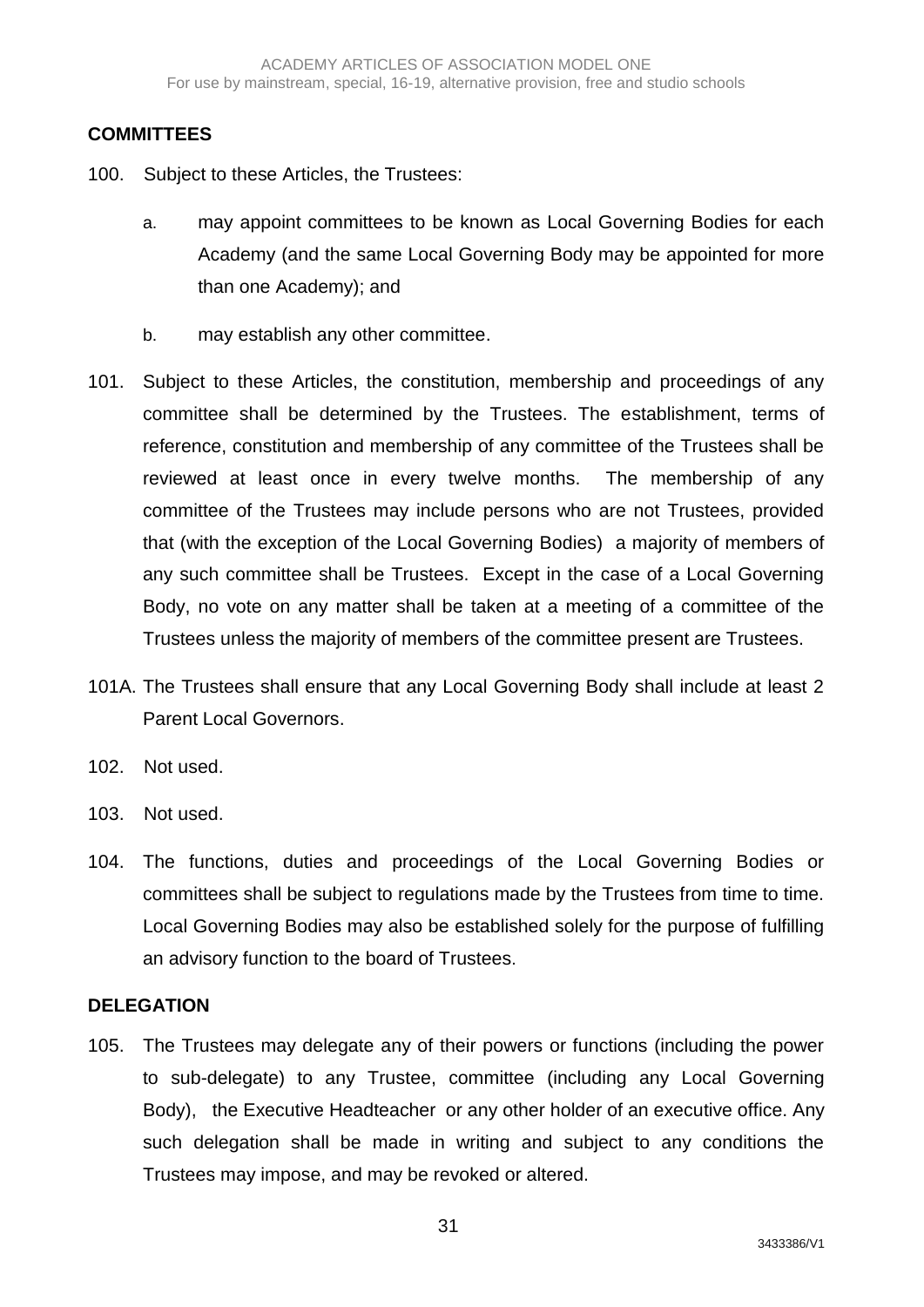## **COMMITTEES**

- 100. Subject to these Articles, the Trustees:
	- a. may appoint committees to be known as Local Governing Bodies for each Academy (and the same Local Governing Body may be appointed for more than one Academy); and
	- b. may establish any other committee.
- 101. Subject to these Articles, the constitution, membership and proceedings of any committee shall be determined by the Trustees. The establishment, terms of reference, constitution and membership of any committee of the Trustees shall be reviewed at least once in every twelve months. The membership of any committee of the Trustees may include persons who are not Trustees, provided that (with the exception of the Local Governing Bodies) a majority of members of any such committee shall be Trustees. Except in the case of a Local Governing Body, no vote on any matter shall be taken at a meeting of a committee of the Trustees unless the majority of members of the committee present are Trustees.
- 101A. The Trustees shall ensure that any Local Governing Body shall include at least 2 Parent Local Governors.
- 102. Not used.
- 103. Not used.
- 104. The functions, duties and proceedings of the Local Governing Bodies or committees shall be subject to regulations made by the Trustees from time to time. Local Governing Bodies may also be established solely for the purpose of fulfilling an advisory function to the board of Trustees.

#### **DELEGATION**

105. The Trustees may delegate any of their powers or functions (including the power to sub-delegate) to any Trustee, committee (including any Local Governing Body), the Executive Headteacher or any other holder of an executive office. Any such delegation shall be made in writing and subject to any conditions the Trustees may impose, and may be revoked or altered.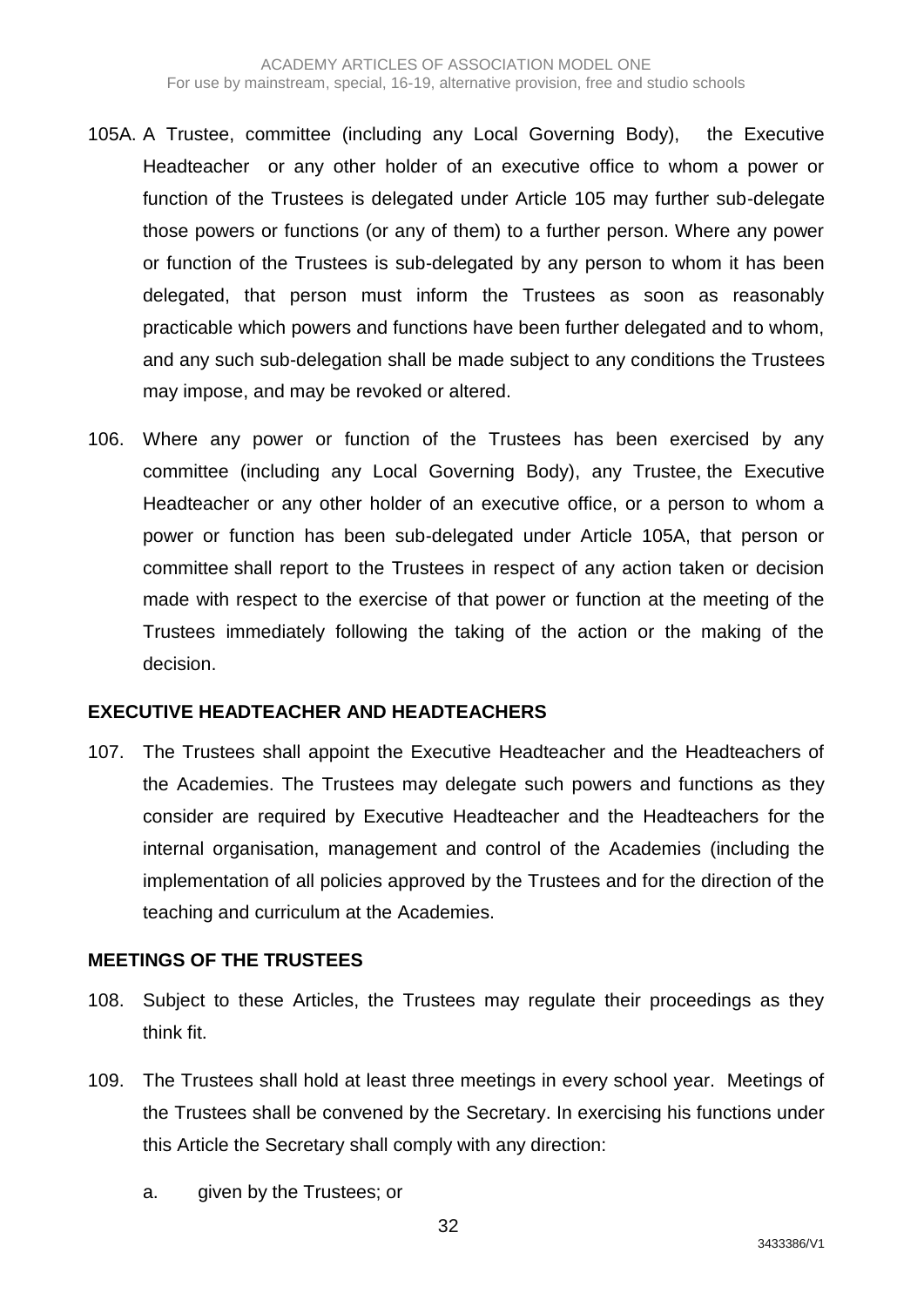- 105A. A Trustee, committee (including any Local Governing Body), the Executive Headteacher or any other holder of an executive office to whom a power or function of the Trustees is delegated under Article 105 may further sub-delegate those powers or functions (or any of them) to a further person. Where any power or function of the Trustees is sub-delegated by any person to whom it has been delegated, that person must inform the Trustees as soon as reasonably practicable which powers and functions have been further delegated and to whom, and any such sub-delegation shall be made subject to any conditions the Trustees may impose, and may be revoked or altered.
- 106. Where any power or function of the Trustees has been exercised by any committee (including any Local Governing Body), any Trustee, the Executive Headteacher or any other holder of an executive office, or a person to whom a power or function has been sub-delegated under Article 105A, that person or committee shall report to the Trustees in respect of any action taken or decision made with respect to the exercise of that power or function at the meeting of the Trustees immediately following the taking of the action or the making of the decision.

#### **EXECUTIVE HEADTEACHER AND HEADTEACHERS**

107. The Trustees shall appoint the Executive Headteacher and the Headteachers of the Academies. The Trustees may delegate such powers and functions as they consider are required by Executive Headteacher and the Headteachers for the internal organisation, management and control of the Academies (including the implementation of all policies approved by the Trustees and for the direction of the teaching and curriculum at the Academies.

### **MEETINGS OF THE TRUSTEES**

- 108. Subject to these Articles, the Trustees may regulate their proceedings as they think fit.
- 109. The Trustees shall hold at least three meetings in every school year. Meetings of the Trustees shall be convened by the Secretary. In exercising his functions under this Article the Secretary shall comply with any direction:
	- a. given by the Trustees; or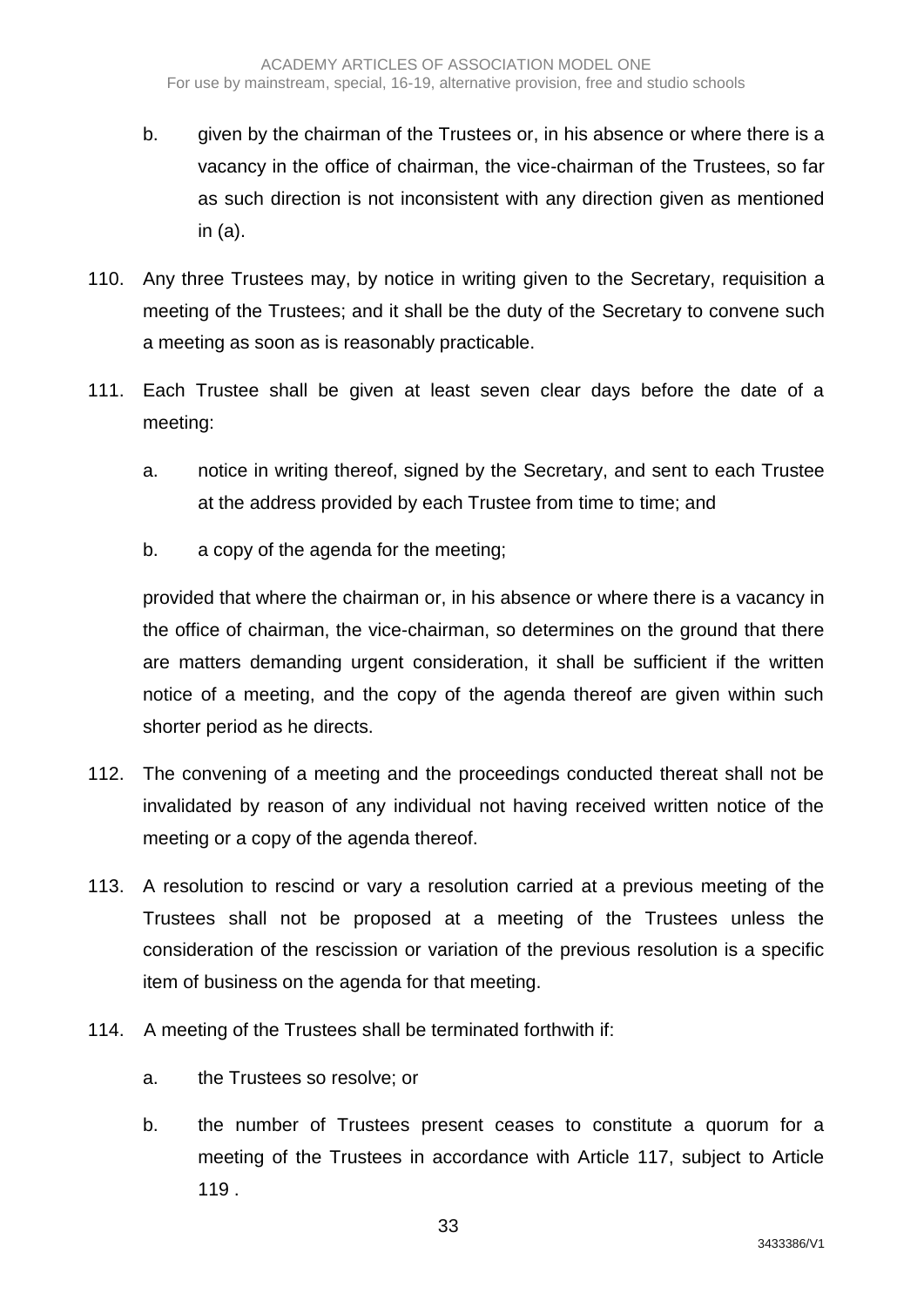- b. given by the chairman of the Trustees or, in his absence or where there is a vacancy in the office of chairman, the vice-chairman of the Trustees, so far as such direction is not inconsistent with any direction given as mentioned in (a).
- 110. Any three Trustees may, by notice in writing given to the Secretary, requisition a meeting of the Trustees; and it shall be the duty of the Secretary to convene such a meeting as soon as is reasonably practicable.
- 111. Each Trustee shall be given at least seven clear days before the date of a meeting:
	- a. notice in writing thereof, signed by the Secretary, and sent to each Trustee at the address provided by each Trustee from time to time; and
	- b. a copy of the agenda for the meeting;

provided that where the chairman or, in his absence or where there is a vacancy in the office of chairman, the vice-chairman, so determines on the ground that there are matters demanding urgent consideration, it shall be sufficient if the written notice of a meeting, and the copy of the agenda thereof are given within such shorter period as he directs.

- 112. The convening of a meeting and the proceedings conducted thereat shall not be invalidated by reason of any individual not having received written notice of the meeting or a copy of the agenda thereof.
- 113. A resolution to rescind or vary a resolution carried at a previous meeting of the Trustees shall not be proposed at a meeting of the Trustees unless the consideration of the rescission or variation of the previous resolution is a specific item of business on the agenda for that meeting.
- 114. A meeting of the Trustees shall be terminated forthwith if:
	- a. the Trustees so resolve; or
	- b. the number of Trustees present ceases to constitute a quorum for a meeting of the Trustees in accordance with Article 117, subject to Article 119 .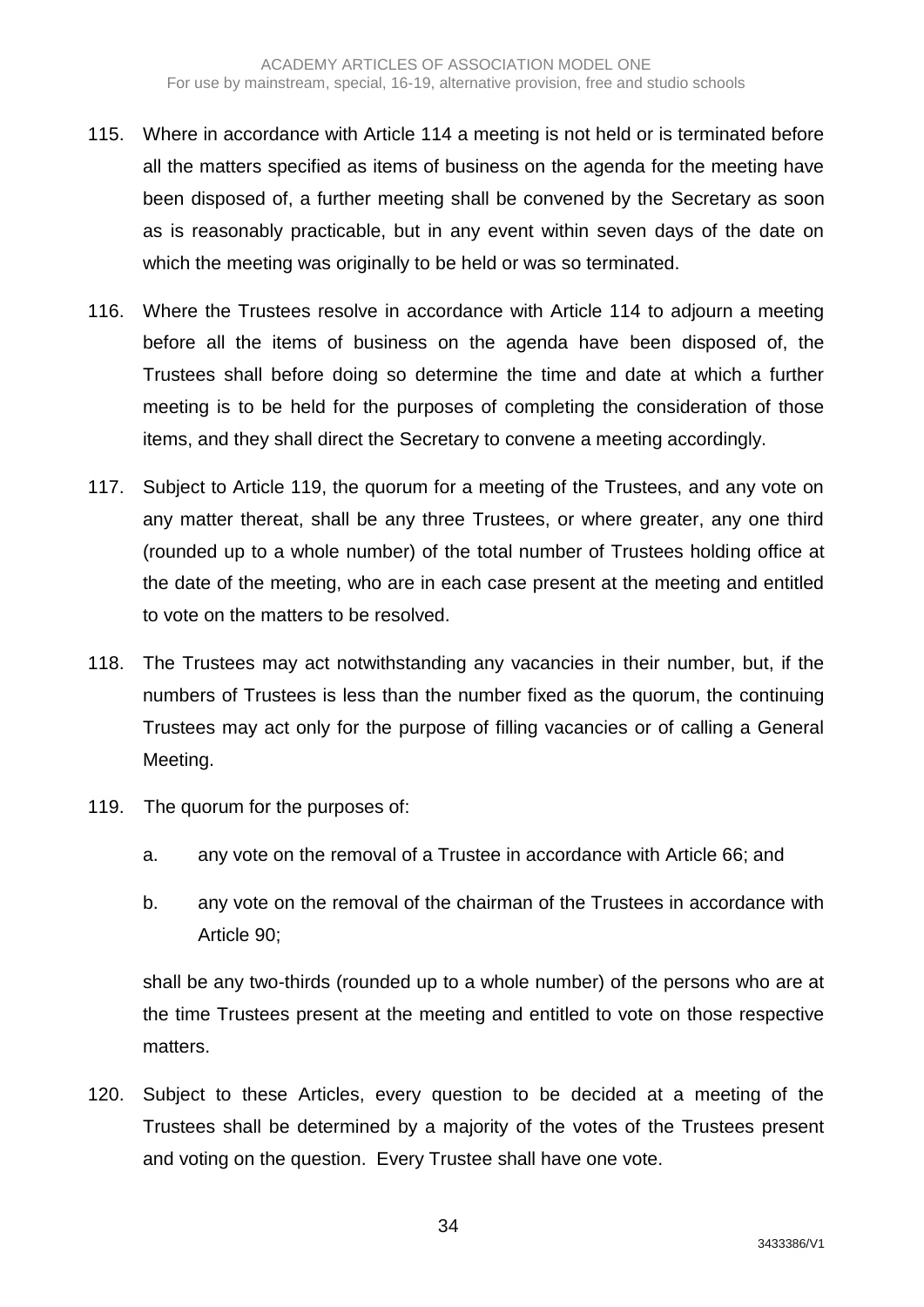- 115. Where in accordance with Article 114 a meeting is not held or is terminated before all the matters specified as items of business on the agenda for the meeting have been disposed of, a further meeting shall be convened by the Secretary as soon as is reasonably practicable, but in any event within seven days of the date on which the meeting was originally to be held or was so terminated.
- 116. Where the Trustees resolve in accordance with Article 114 to adjourn a meeting before all the items of business on the agenda have been disposed of, the Trustees shall before doing so determine the time and date at which a further meeting is to be held for the purposes of completing the consideration of those items, and they shall direct the Secretary to convene a meeting accordingly.
- 117. Subject to Article 119, the quorum for a meeting of the Trustees, and any vote on any matter thereat, shall be any three Trustees, or where greater, any one third (rounded up to a whole number) of the total number of Trustees holding office at the date of the meeting, who are in each case present at the meeting and entitled to vote on the matters to be resolved.
- 118. The Trustees may act notwithstanding any vacancies in their number, but, if the numbers of Trustees is less than the number fixed as the quorum, the continuing Trustees may act only for the purpose of filling vacancies or of calling a General Meeting.
- 119. The quorum for the purposes of:
	- a. any vote on the removal of a Trustee in accordance with Article 66; and
	- b. any vote on the removal of the chairman of the Trustees in accordance with Article 90;

shall be any two-thirds (rounded up to a whole number) of the persons who are at the time Trustees present at the meeting and entitled to vote on those respective matters.

120. Subject to these Articles, every question to be decided at a meeting of the Trustees shall be determined by a majority of the votes of the Trustees present and voting on the question. Every Trustee shall have one vote.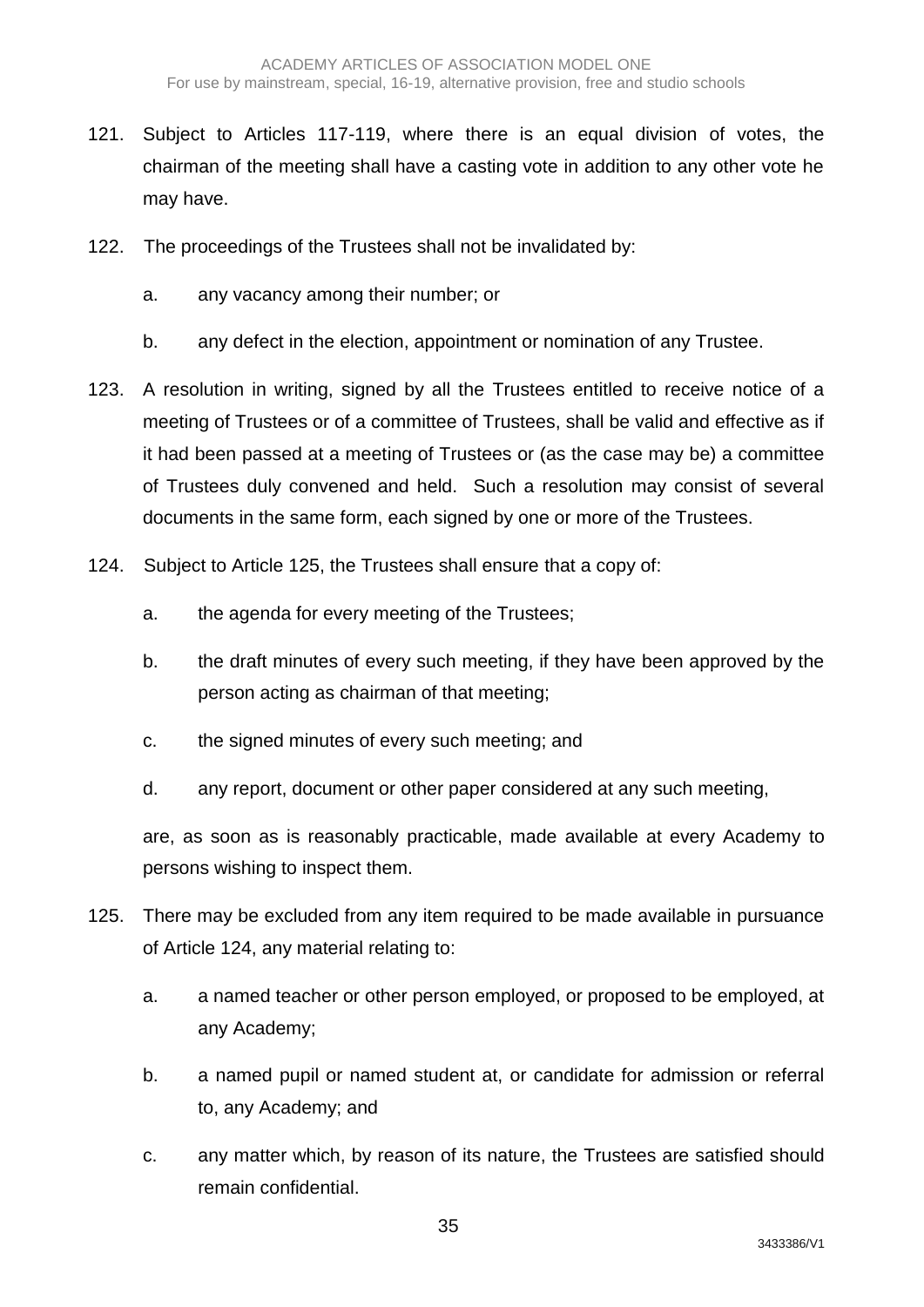- 121. Subject to Articles 117-119, where there is an equal division of votes, the chairman of the meeting shall have a casting vote in addition to any other vote he may have.
- 122. The proceedings of the Trustees shall not be invalidated by:
	- a. any vacancy among their number; or
	- b. any defect in the election, appointment or nomination of any Trustee.
- 123. A resolution in writing, signed by all the Trustees entitled to receive notice of a meeting of Trustees or of a committee of Trustees, shall be valid and effective as if it had been passed at a meeting of Trustees or (as the case may be) a committee of Trustees duly convened and held. Such a resolution may consist of several documents in the same form, each signed by one or more of the Trustees.
- 124. Subject to Article 125, the Trustees shall ensure that a copy of:
	- a. the agenda for every meeting of the Trustees;
	- b. the draft minutes of every such meeting, if they have been approved by the person acting as chairman of that meeting;
	- c. the signed minutes of every such meeting; and
	- d. any report, document or other paper considered at any such meeting,

are, as soon as is reasonably practicable, made available at every Academy to persons wishing to inspect them.

- 125. There may be excluded from any item required to be made available in pursuance of Article 124, any material relating to:
	- a. a named teacher or other person employed, or proposed to be employed, at any Academy;
	- b. a named pupil or named student at, or candidate for admission or referral to, any Academy; and
	- c. any matter which, by reason of its nature, the Trustees are satisfied should remain confidential.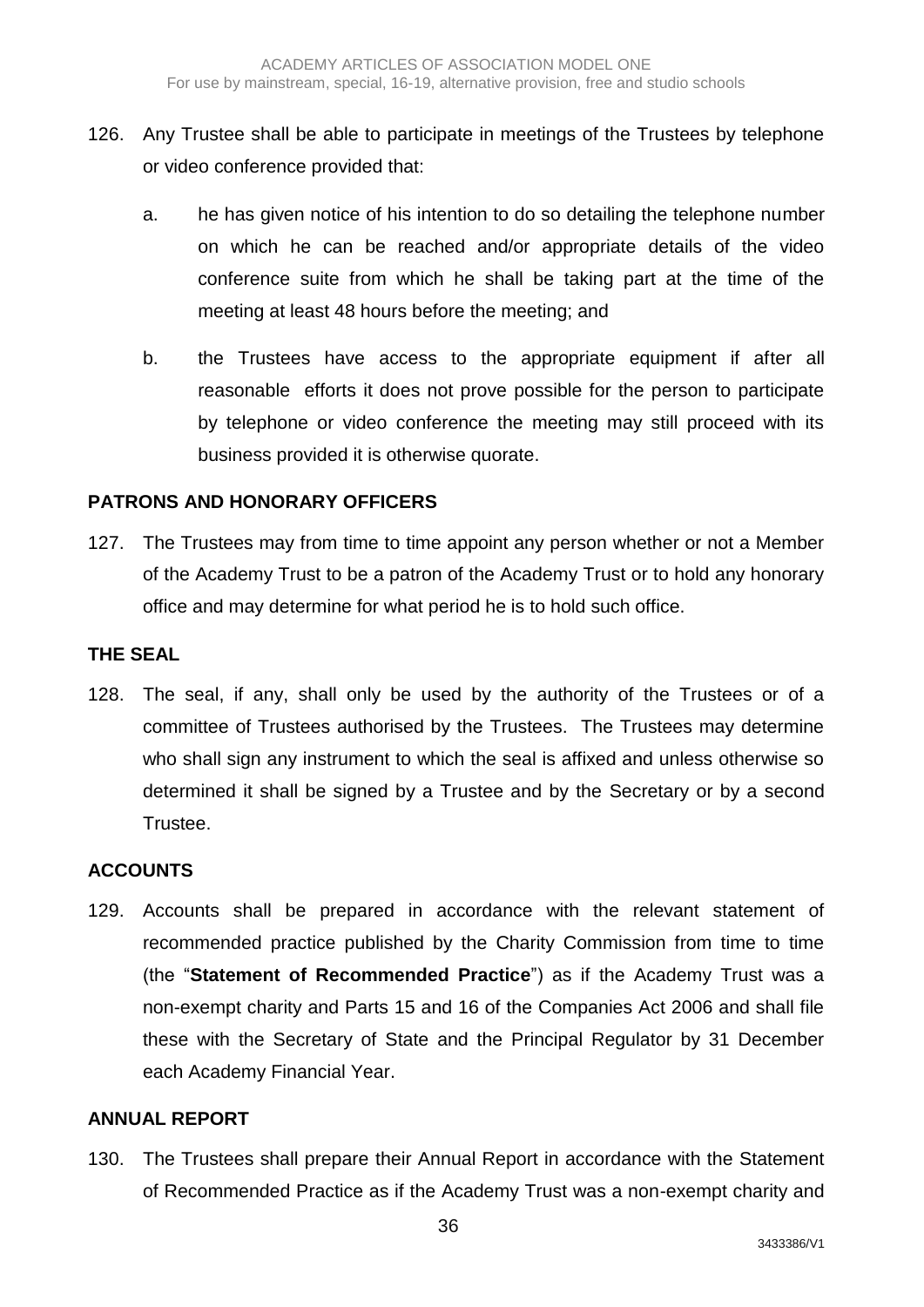- 126. Any Trustee shall be able to participate in meetings of the Trustees by telephone or video conference provided that:
	- a. he has given notice of his intention to do so detailing the telephone number on which he can be reached and/or appropriate details of the video conference suite from which he shall be taking part at the time of the meeting at least 48 hours before the meeting; and
	- b. the Trustees have access to the appropriate equipment if after all reasonable efforts it does not prove possible for the person to participate by telephone or video conference the meeting may still proceed with its business provided it is otherwise quorate.

# **PATRONS AND HONORARY OFFICERS**

127. The Trustees may from time to time appoint any person whether or not a Member of the Academy Trust to be a patron of the Academy Trust or to hold any honorary office and may determine for what period he is to hold such office.

## **THE SEAL**

128. The seal, if any, shall only be used by the authority of the Trustees or of a committee of Trustees authorised by the Trustees. The Trustees may determine who shall sign any instrument to which the seal is affixed and unless otherwise so determined it shall be signed by a Trustee and by the Secretary or by a second Trustee.

# **ACCOUNTS**

129. Accounts shall be prepared in accordance with the relevant statement of recommended practice published by the Charity Commission from time to time (the "**Statement of Recommended Practice**") as if the Academy Trust was a non-exempt charity and Parts 15 and 16 of the Companies Act 2006 and shall file these with the Secretary of State and the Principal Regulator by 31 December each Academy Financial Year.

#### **ANNUAL REPORT**

130. The Trustees shall prepare their Annual Report in accordance with the Statement of Recommended Practice as if the Academy Trust was a non-exempt charity and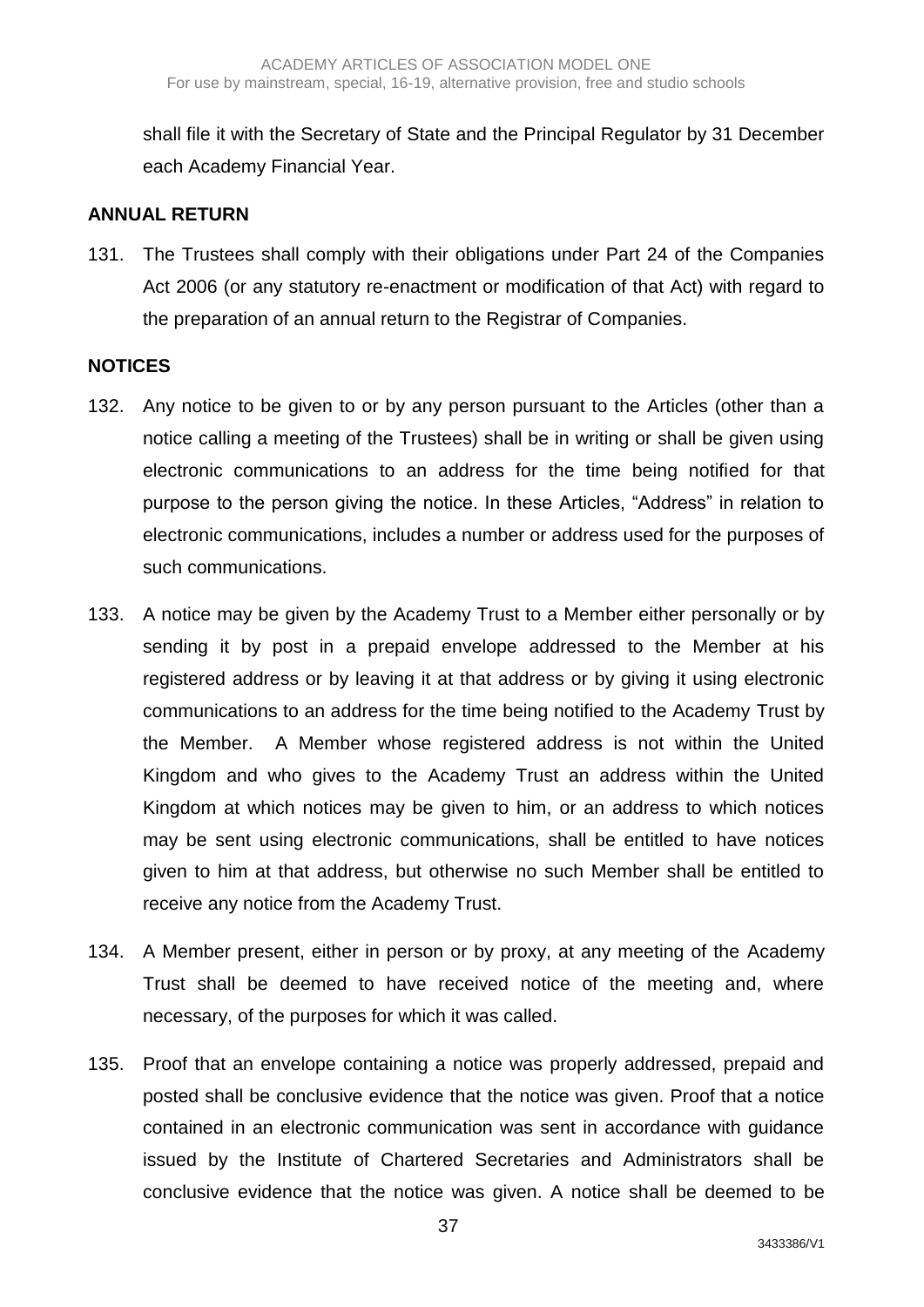shall file it with the Secretary of State and the Principal Regulator by 31 December each Academy Financial Year.

#### **ANNUAL RETURN**

131. The Trustees shall comply with their obligations under Part 24 of the Companies Act 2006 (or any statutory re-enactment or modification of that Act) with regard to the preparation of an annual return to the Registrar of Companies.

#### **NOTICES**

- 132. Any notice to be given to or by any person pursuant to the Articles (other than a notice calling a meeting of the Trustees) shall be in writing or shall be given using electronic communications to an address for the time being notified for that purpose to the person giving the notice. In these Articles, "Address" in relation to electronic communications, includes a number or address used for the purposes of such communications.
- 133. A notice may be given by the Academy Trust to a Member either personally or by sending it by post in a prepaid envelope addressed to the Member at his registered address or by leaving it at that address or by giving it using electronic communications to an address for the time being notified to the Academy Trust by the Member. A Member whose registered address is not within the United Kingdom and who gives to the Academy Trust an address within the United Kingdom at which notices may be given to him, or an address to which notices may be sent using electronic communications, shall be entitled to have notices given to him at that address, but otherwise no such Member shall be entitled to receive any notice from the Academy Trust.
- 134. A Member present, either in person or by proxy, at any meeting of the Academy Trust shall be deemed to have received notice of the meeting and, where necessary, of the purposes for which it was called.
- 135. Proof that an envelope containing a notice was properly addressed, prepaid and posted shall be conclusive evidence that the notice was given. Proof that a notice contained in an electronic communication was sent in accordance with guidance issued by the Institute of Chartered Secretaries and Administrators shall be conclusive evidence that the notice was given. A notice shall be deemed to be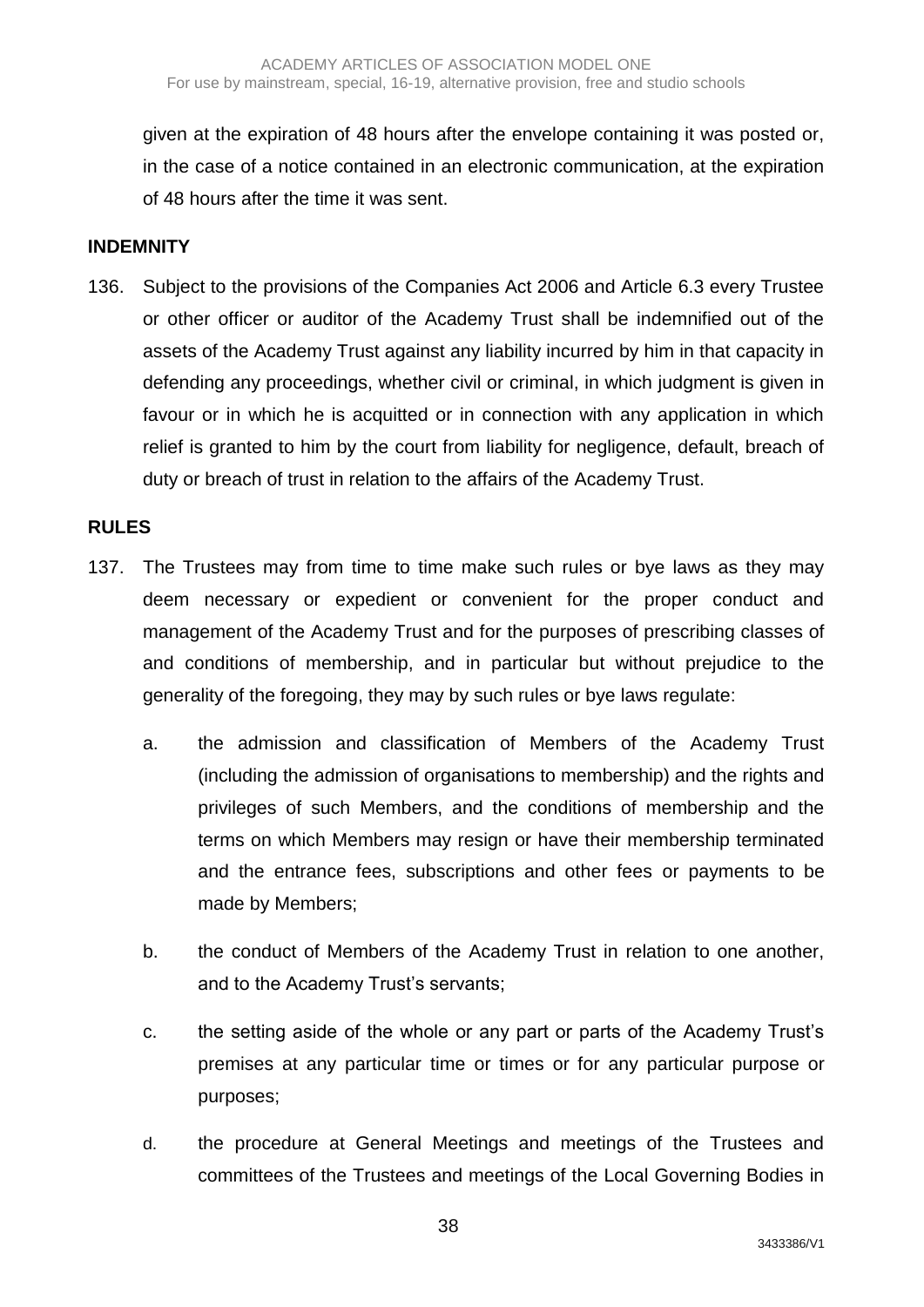given at the expiration of 48 hours after the envelope containing it was posted or, in the case of a notice contained in an electronic communication, at the expiration of 48 hours after the time it was sent.

#### **INDEMNITY**

136. Subject to the provisions of the Companies Act 2006 and Article 6.3 every Trustee or other officer or auditor of the Academy Trust shall be indemnified out of the assets of the Academy Trust against any liability incurred by him in that capacity in defending any proceedings, whether civil or criminal, in which judgment is given in favour or in which he is acquitted or in connection with any application in which relief is granted to him by the court from liability for negligence, default, breach of duty or breach of trust in relation to the affairs of the Academy Trust.

#### **RULES**

- 137. The Trustees may from time to time make such rules or bye laws as they may deem necessary or expedient or convenient for the proper conduct and management of the Academy Trust and for the purposes of prescribing classes of and conditions of membership, and in particular but without prejudice to the generality of the foregoing, they may by such rules or bye laws regulate:
	- a. the admission and classification of Members of the Academy Trust (including the admission of organisations to membership) and the rights and privileges of such Members, and the conditions of membership and the terms on which Members may resign or have their membership terminated and the entrance fees, subscriptions and other fees or payments to be made by Members;
	- b. the conduct of Members of the Academy Trust in relation to one another, and to the Academy Trust's servants;
	- c. the setting aside of the whole or any part or parts of the Academy Trust's premises at any particular time or times or for any particular purpose or purposes;
	- d. the procedure at General Meetings and meetings of the Trustees and committees of the Trustees and meetings of the Local Governing Bodies in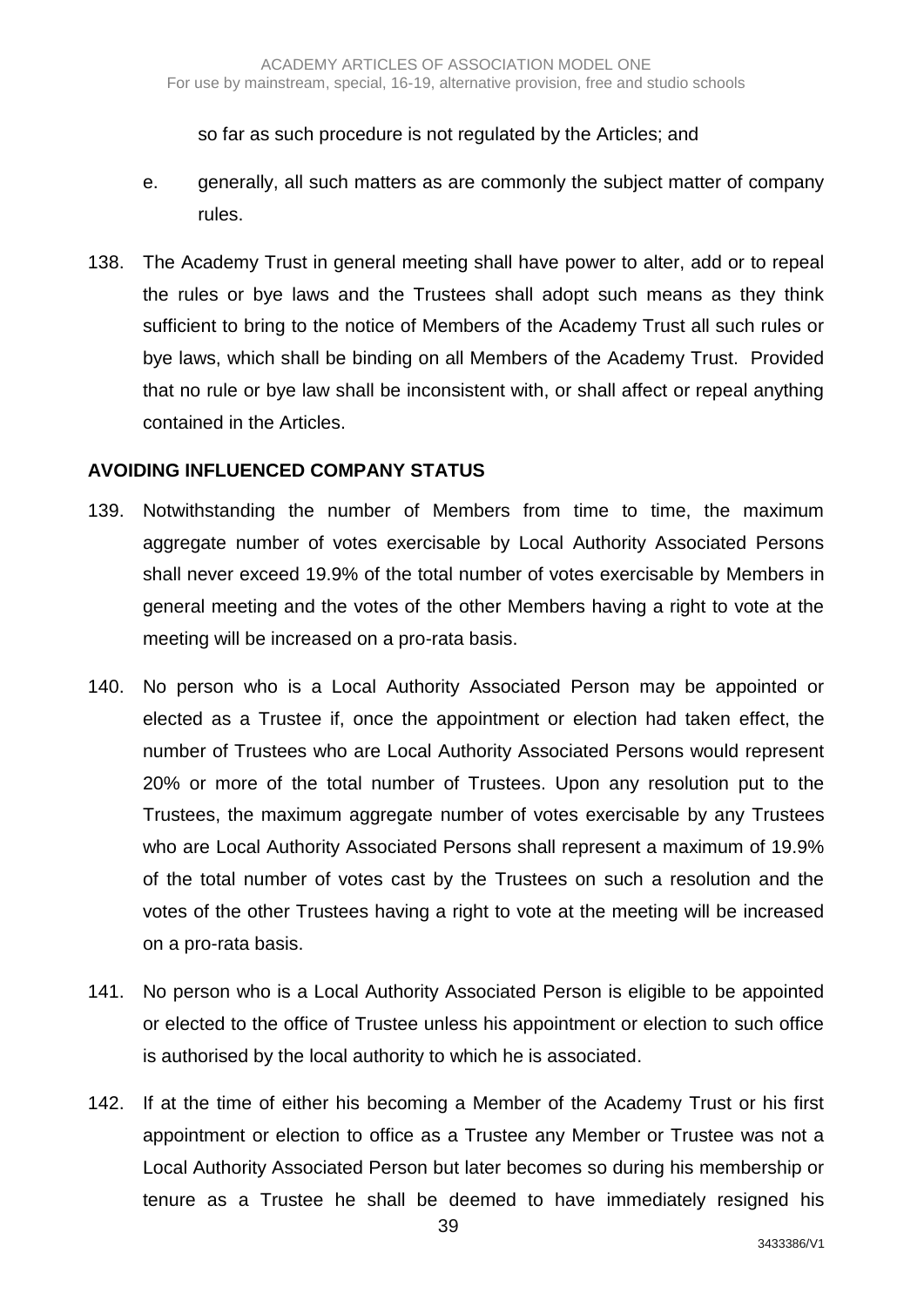so far as such procedure is not regulated by the Articles; and

- e. generally, all such matters as are commonly the subject matter of company rules.
- 138. The Academy Trust in general meeting shall have power to alter, add or to repeal the rules or bye laws and the Trustees shall adopt such means as they think sufficient to bring to the notice of Members of the Academy Trust all such rules or bye laws, which shall be binding on all Members of the Academy Trust. Provided that no rule or bye law shall be inconsistent with, or shall affect or repeal anything contained in the Articles.

#### **AVOIDING INFLUENCED COMPANY STATUS**

- 139. Notwithstanding the number of Members from time to time, the maximum aggregate number of votes exercisable by Local Authority Associated Persons shall never exceed 19.9% of the total number of votes exercisable by Members in general meeting and the votes of the other Members having a right to vote at the meeting will be increased on a pro-rata basis.
- 140. No person who is a Local Authority Associated Person may be appointed or elected as a Trustee if, once the appointment or election had taken effect, the number of Trustees who are Local Authority Associated Persons would represent 20% or more of the total number of Trustees. Upon any resolution put to the Trustees, the maximum aggregate number of votes exercisable by any Trustees who are Local Authority Associated Persons shall represent a maximum of 19.9% of the total number of votes cast by the Trustees on such a resolution and the votes of the other Trustees having a right to vote at the meeting will be increased on a pro-rata basis.
- 141. No person who is a Local Authority Associated Person is eligible to be appointed or elected to the office of Trustee unless his appointment or election to such office is authorised by the local authority to which he is associated.
- 142. If at the time of either his becoming a Member of the Academy Trust or his first appointment or election to office as a Trustee any Member or Trustee was not a Local Authority Associated Person but later becomes so during his membership or tenure as a Trustee he shall be deemed to have immediately resigned his